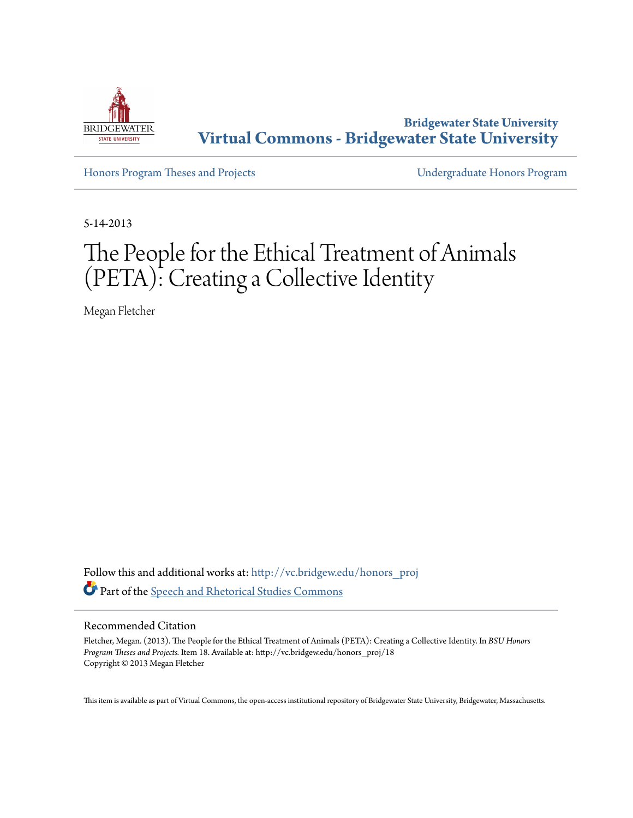

**Bridgewater State University [Virtual Commons - Bridgewater State University](http://vc.bridgew.edu?utm_source=vc.bridgew.edu%2Fhonors_proj%2F18&utm_medium=PDF&utm_campaign=PDFCoverPages)**

[Honors Program Theses and Projects](http://vc.bridgew.edu/honors_proj?utm_source=vc.bridgew.edu%2Fhonors_proj%2F18&utm_medium=PDF&utm_campaign=PDFCoverPages) [Undergraduate Honors Program](http://vc.bridgew.edu/honors?utm_source=vc.bridgew.edu%2Fhonors_proj%2F18&utm_medium=PDF&utm_campaign=PDFCoverPages)

5-14-2013

# The People for the Ethical Treatment of Animals (PETA): Creating a Collective Identity

Megan Fletcher

Follow this and additional works at: [http://vc.bridgew.edu/honors\\_proj](http://vc.bridgew.edu/honors_proj?utm_source=vc.bridgew.edu%2Fhonors_proj%2F18&utm_medium=PDF&utm_campaign=PDFCoverPages) Part of the [Speech and Rhetorical Studies Commons](http://network.bepress.com/hgg/discipline/338?utm_source=vc.bridgew.edu%2Fhonors_proj%2F18&utm_medium=PDF&utm_campaign=PDFCoverPages)

#### Recommended Citation

Fletcher, Megan. (2013). The People for the Ethical Treatment of Animals (PETA): Creating a Collective Identity. In *BSU Honors Program Theses and Projects.* Item 18. Available at: http://vc.bridgew.edu/honors\_proj/18 Copyright © 2013 Megan Fletcher

This item is available as part of Virtual Commons, the open-access institutional repository of Bridgewater State University, Bridgewater, Massachusetts.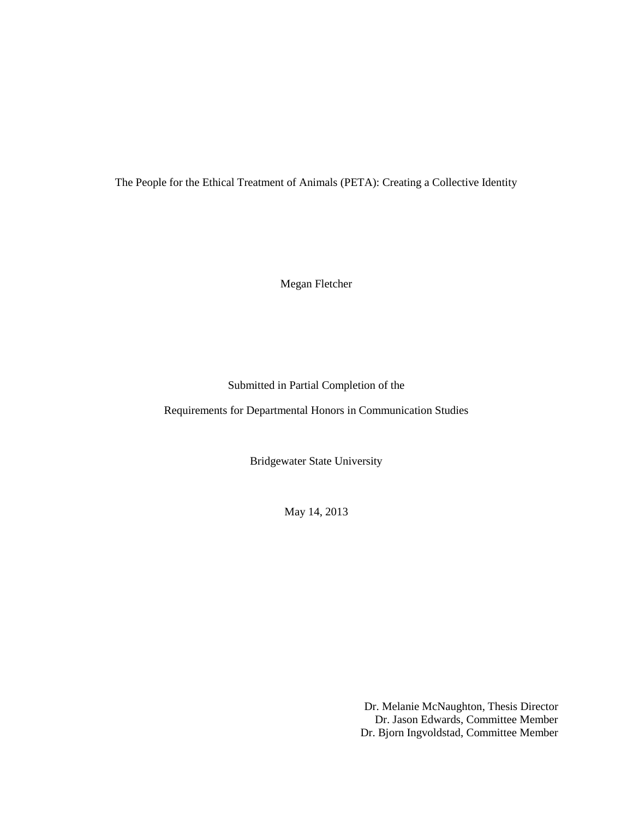The People for the Ethical Treatment of Animals (PETA): Creating a Collective Identity

Megan Fletcher

# Submitted in Partial Completion of the

Requirements for Departmental Honors in Communication Studies

Bridgewater State University

May 14, 2013

Dr. Melanie McNaughton, Thesis Director Dr. Jason Edwards, Committee Member Dr. Bjorn Ingvoldstad, Committee Member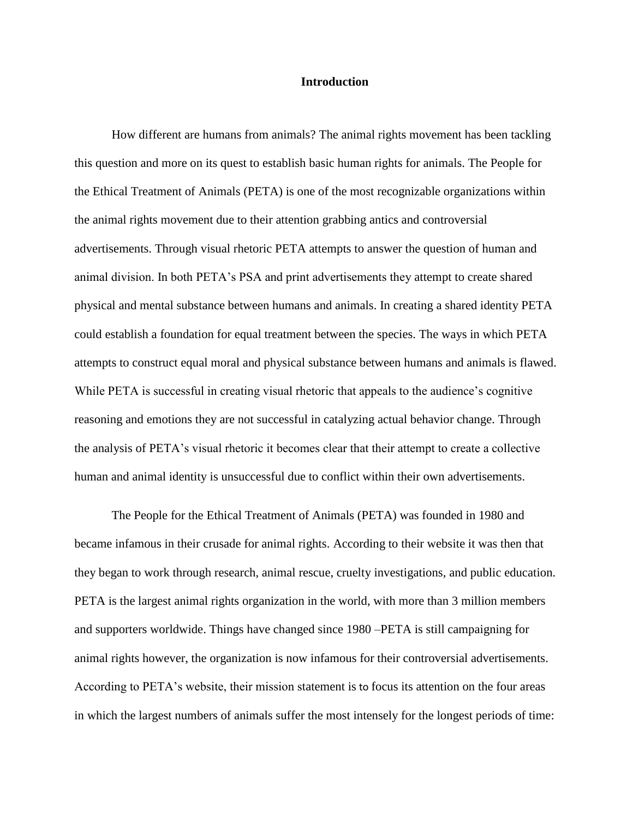#### **Introduction**

How different are humans from animals? The animal rights movement has been tackling this question and more on its quest to establish basic human rights for animals. The People for the Ethical Treatment of Animals (PETA) is one of the most recognizable organizations within the animal rights movement due to their attention grabbing antics and controversial advertisements. Through visual rhetoric PETA attempts to answer the question of human and animal division. In both PETA's PSA and print advertisements they attempt to create shared physical and mental substance between humans and animals. In creating a shared identity PETA could establish a foundation for equal treatment between the species. The ways in which PETA attempts to construct equal moral and physical substance between humans and animals is flawed. While PETA is successful in creating visual rhetoric that appeals to the audience's cognitive reasoning and emotions they are not successful in catalyzing actual behavior change. Through the analysis of PETA's visual rhetoric it becomes clear that their attempt to create a collective human and animal identity is unsuccessful due to conflict within their own advertisements.

The People for the Ethical Treatment of Animals (PETA) was founded in 1980 and became infamous in their crusade for animal rights. According to their website it was then that they began to work through research, animal rescue, cruelty investigations, and public education. PETA is the largest animal rights organization in the world, with more than 3 million members and supporters worldwide. Things have changed since 1980 –PETA is still campaigning for animal rights however, the organization is now infamous for their controversial advertisements. According to PETA's website, their mission statement is to focus its attention on the four areas in which the largest numbers of animals suffer the most intensely for the longest periods of time: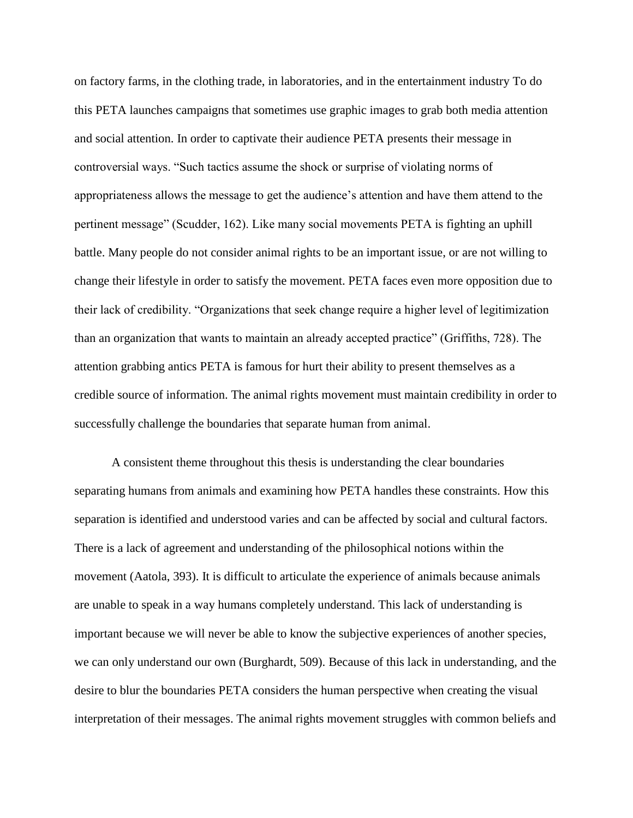on factory farms, in the clothing trade, in laboratories, and in the entertainment industry To do this PETA launches campaigns that sometimes use graphic images to grab both media attention and social attention. In order to captivate their audience PETA presents their message in controversial ways. "Such tactics assume the shock or surprise of violating norms of appropriateness allows the message to get the audience's attention and have them attend to the pertinent message" (Scudder, 162). Like many social movements PETA is fighting an uphill battle. Many people do not consider animal rights to be an important issue, or are not willing to change their lifestyle in order to satisfy the movement. PETA faces even more opposition due to their lack of credibility. "Organizations that seek change require a higher level of legitimization than an organization that wants to maintain an already accepted practice" (Griffiths, 728). The attention grabbing antics PETA is famous for hurt their ability to present themselves as a credible source of information. The animal rights movement must maintain credibility in order to successfully challenge the boundaries that separate human from animal.

A consistent theme throughout this thesis is understanding the clear boundaries separating humans from animals and examining how PETA handles these constraints. How this separation is identified and understood varies and can be affected by social and cultural factors. There is a lack of agreement and understanding of the philosophical notions within the movement (Aatola, 393). It is difficult to articulate the experience of animals because animals are unable to speak in a way humans completely understand. This lack of understanding is important because we will never be able to know the subjective experiences of another species, we can only understand our own (Burghardt, 509). Because of this lack in understanding, and the desire to blur the boundaries PETA considers the human perspective when creating the visual interpretation of their messages. The animal rights movement struggles with common beliefs and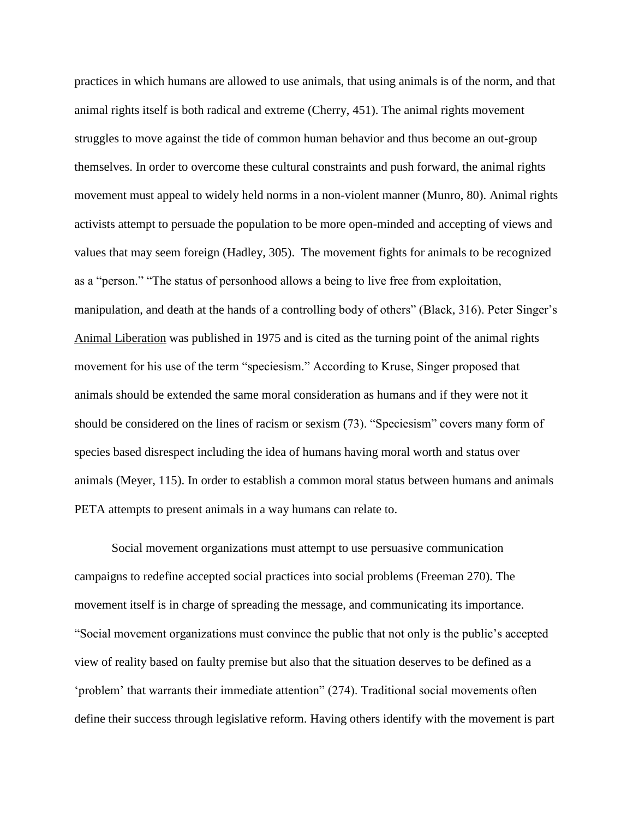practices in which humans are allowed to use animals, that using animals is of the norm, and that animal rights itself is both radical and extreme (Cherry, 451). The animal rights movement struggles to move against the tide of common human behavior and thus become an out-group themselves. In order to overcome these cultural constraints and push forward, the animal rights movement must appeal to widely held norms in a non-violent manner (Munro, 80). Animal rights activists attempt to persuade the population to be more open-minded and accepting of views and values that may seem foreign (Hadley, 305). The movement fights for animals to be recognized as a "person." "The status of personhood allows a being to live free from exploitation, manipulation, and death at the hands of a controlling body of others" (Black, 316). Peter Singer's Animal Liberation was published in 1975 and is cited as the turning point of the animal rights movement for his use of the term "speciesism." According to Kruse, Singer proposed that animals should be extended the same moral consideration as humans and if they were not it should be considered on the lines of racism or sexism (73). "Speciesism" covers many form of species based disrespect including the idea of humans having moral worth and status over animals (Meyer, 115). In order to establish a common moral status between humans and animals PETA attempts to present animals in a way humans can relate to.

Social movement organizations must attempt to use persuasive communication campaigns to redefine accepted social practices into social problems (Freeman 270). The movement itself is in charge of spreading the message, and communicating its importance. "Social movement organizations must convince the public that not only is the public's accepted view of reality based on faulty premise but also that the situation deserves to be defined as a 'problem' that warrants their immediate attention" (274). Traditional social movements often define their success through legislative reform. Having others identify with the movement is part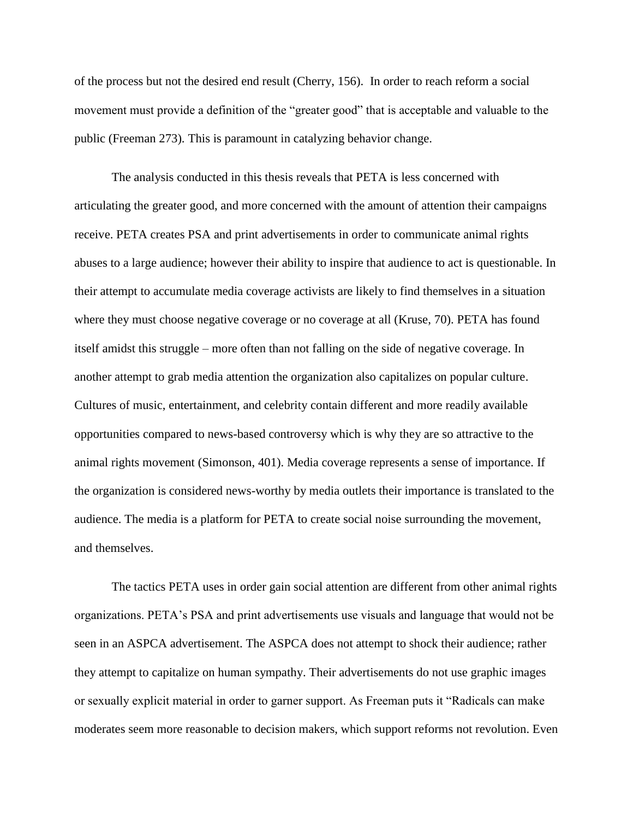of the process but not the desired end result (Cherry, 156). In order to reach reform a social movement must provide a definition of the "greater good" that is acceptable and valuable to the public (Freeman 273). This is paramount in catalyzing behavior change.

The analysis conducted in this thesis reveals that PETA is less concerned with articulating the greater good, and more concerned with the amount of attention their campaigns receive. PETA creates PSA and print advertisements in order to communicate animal rights abuses to a large audience; however their ability to inspire that audience to act is questionable. In their attempt to accumulate media coverage activists are likely to find themselves in a situation where they must choose negative coverage or no coverage at all (Kruse, 70). PETA has found itself amidst this struggle – more often than not falling on the side of negative coverage. In another attempt to grab media attention the organization also capitalizes on popular culture. Cultures of music, entertainment, and celebrity contain different and more readily available opportunities compared to news-based controversy which is why they are so attractive to the animal rights movement (Simonson, 401). Media coverage represents a sense of importance. If the organization is considered news-worthy by media outlets their importance is translated to the audience. The media is a platform for PETA to create social noise surrounding the movement, and themselves.

The tactics PETA uses in order gain social attention are different from other animal rights organizations. PETA's PSA and print advertisements use visuals and language that would not be seen in an ASPCA advertisement. The ASPCA does not attempt to shock their audience; rather they attempt to capitalize on human sympathy. Their advertisements do not use graphic images or sexually explicit material in order to garner support. As Freeman puts it "Radicals can make moderates seem more reasonable to decision makers, which support reforms not revolution. Even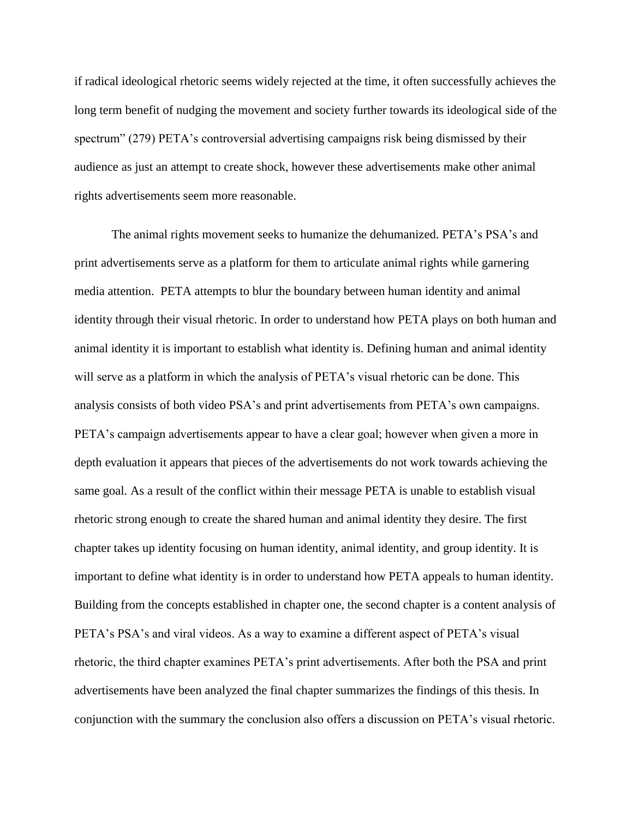if radical ideological rhetoric seems widely rejected at the time, it often successfully achieves the long term benefit of nudging the movement and society further towards its ideological side of the spectrum" (279) PETA's controversial advertising campaigns risk being dismissed by their audience as just an attempt to create shock, however these advertisements make other animal rights advertisements seem more reasonable.

The animal rights movement seeks to humanize the dehumanized. PETA's PSA's and print advertisements serve as a platform for them to articulate animal rights while garnering media attention. PETA attempts to blur the boundary between human identity and animal identity through their visual rhetoric. In order to understand how PETA plays on both human and animal identity it is important to establish what identity is. Defining human and animal identity will serve as a platform in which the analysis of PETA's visual rhetoric can be done. This analysis consists of both video PSA's and print advertisements from PETA's own campaigns. PETA's campaign advertisements appear to have a clear goal; however when given a more in depth evaluation it appears that pieces of the advertisements do not work towards achieving the same goal. As a result of the conflict within their message PETA is unable to establish visual rhetoric strong enough to create the shared human and animal identity they desire. The first chapter takes up identity focusing on human identity, animal identity, and group identity. It is important to define what identity is in order to understand how PETA appeals to human identity. Building from the concepts established in chapter one, the second chapter is a content analysis of PETA's PSA's and viral videos. As a way to examine a different aspect of PETA's visual rhetoric, the third chapter examines PETA's print advertisements. After both the PSA and print advertisements have been analyzed the final chapter summarizes the findings of this thesis. In conjunction with the summary the conclusion also offers a discussion on PETA's visual rhetoric.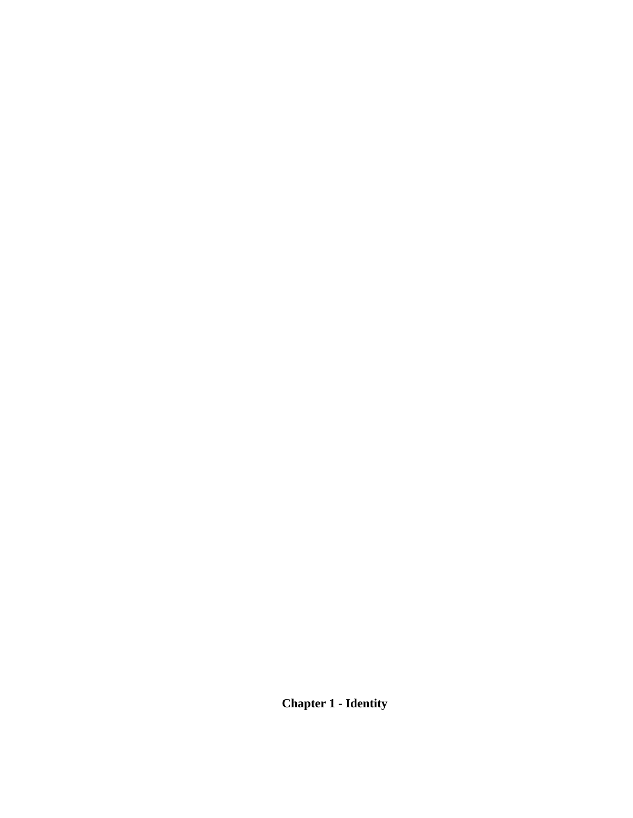**Chapter 1 - Identity**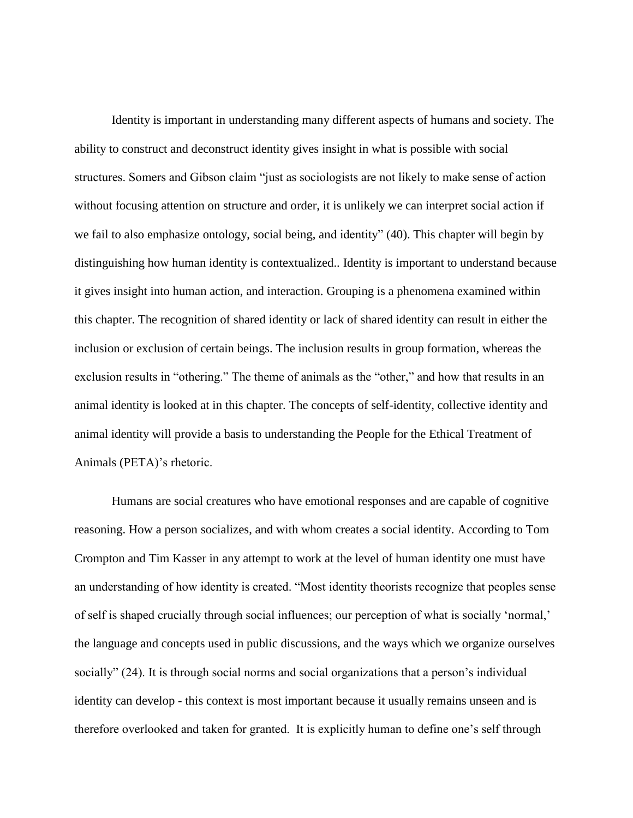Identity is important in understanding many different aspects of humans and society. The ability to construct and deconstruct identity gives insight in what is possible with social structures. Somers and Gibson claim "just as sociologists are not likely to make sense of action without focusing attention on structure and order, it is unlikely we can interpret social action if we fail to also emphasize ontology, social being, and identity" (40). This chapter will begin by distinguishing how human identity is contextualized.. Identity is important to understand because it gives insight into human action, and interaction. Grouping is a phenomena examined within this chapter. The recognition of shared identity or lack of shared identity can result in either the inclusion or exclusion of certain beings. The inclusion results in group formation, whereas the exclusion results in "othering." The theme of animals as the "other," and how that results in an animal identity is looked at in this chapter. The concepts of self-identity, collective identity and animal identity will provide a basis to understanding the People for the Ethical Treatment of Animals (PETA)'s rhetoric.

Humans are social creatures who have emotional responses and are capable of cognitive reasoning. How a person socializes, and with whom creates a social identity. According to Tom Crompton and Tim Kasser in any attempt to work at the level of human identity one must have an understanding of how identity is created. "Most identity theorists recognize that peoples sense of self is shaped crucially through social influences; our perception of what is socially 'normal,' the language and concepts used in public discussions, and the ways which we organize ourselves socially" (24). It is through social norms and social organizations that a person's individual identity can develop - this context is most important because it usually remains unseen and is therefore overlooked and taken for granted. It is explicitly human to define one's self through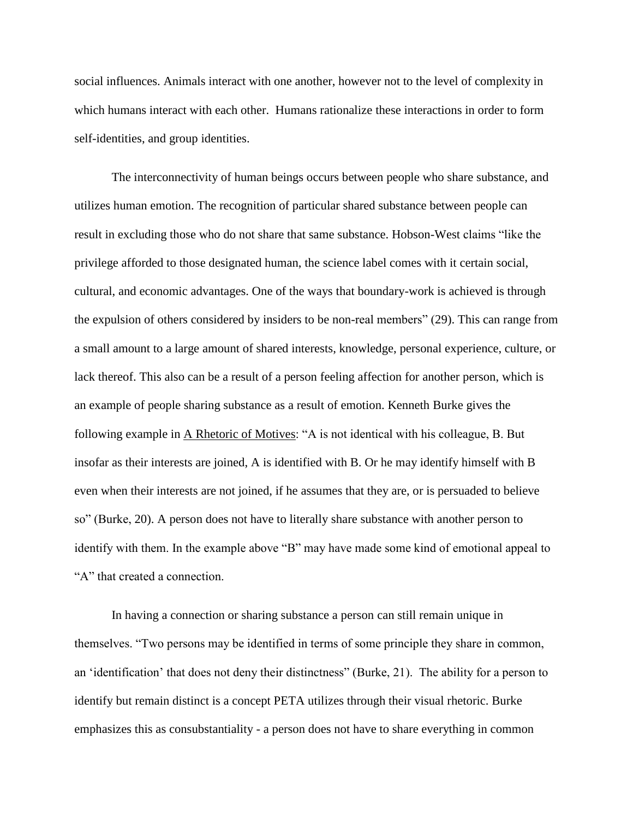social influences. Animals interact with one another, however not to the level of complexity in which humans interact with each other. Humans rationalize these interactions in order to form self-identities, and group identities.

The interconnectivity of human beings occurs between people who share substance, and utilizes human emotion. The recognition of particular shared substance between people can result in excluding those who do not share that same substance. Hobson-West claims "like the privilege afforded to those designated human, the science label comes with it certain social, cultural, and economic advantages. One of the ways that boundary-work is achieved is through the expulsion of others considered by insiders to be non-real members" (29). This can range from a small amount to a large amount of shared interests, knowledge, personal experience, culture, or lack thereof. This also can be a result of a person feeling affection for another person, which is an example of people sharing substance as a result of emotion. Kenneth Burke gives the following example in A Rhetoric of Motives: "A is not identical with his colleague, B. But insofar as their interests are joined, A is identified with B. Or he may identify himself with B even when their interests are not joined, if he assumes that they are, or is persuaded to believe so" (Burke, 20). A person does not have to literally share substance with another person to identify with them. In the example above "B" may have made some kind of emotional appeal to "A" that created a connection.

In having a connection or sharing substance a person can still remain unique in themselves. "Two persons may be identified in terms of some principle they share in common, an 'identification' that does not deny their distinctness" (Burke, 21). The ability for a person to identify but remain distinct is a concept PETA utilizes through their visual rhetoric. Burke emphasizes this as consubstantiality - a person does not have to share everything in common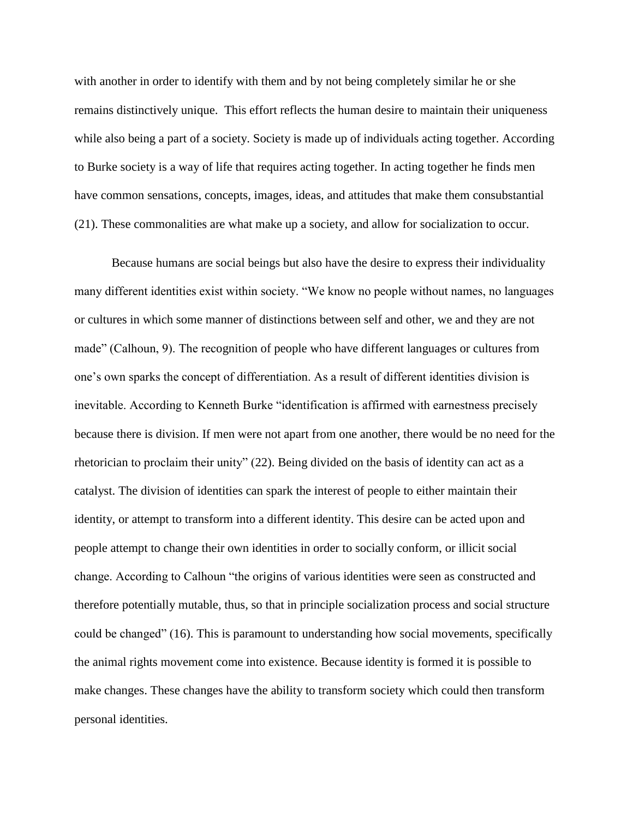with another in order to identify with them and by not being completely similar he or she remains distinctively unique. This effort reflects the human desire to maintain their uniqueness while also being a part of a society. Society is made up of individuals acting together. According to Burke society is a way of life that requires acting together. In acting together he finds men have common sensations, concepts, images, ideas, and attitudes that make them consubstantial (21). These commonalities are what make up a society, and allow for socialization to occur.

Because humans are social beings but also have the desire to express their individuality many different identities exist within society. "We know no people without names, no languages or cultures in which some manner of distinctions between self and other, we and they are not made" (Calhoun, 9). The recognition of people who have different languages or cultures from one's own sparks the concept of differentiation. As a result of different identities division is inevitable. According to Kenneth Burke "identification is affirmed with earnestness precisely because there is division. If men were not apart from one another, there would be no need for the rhetorician to proclaim their unity" (22). Being divided on the basis of identity can act as a catalyst. The division of identities can spark the interest of people to either maintain their identity, or attempt to transform into a different identity. This desire can be acted upon and people attempt to change their own identities in order to socially conform, or illicit social change. According to Calhoun "the origins of various identities were seen as constructed and therefore potentially mutable, thus, so that in principle socialization process and social structure could be changed" (16). This is paramount to understanding how social movements, specifically the animal rights movement come into existence. Because identity is formed it is possible to make changes. These changes have the ability to transform society which could then transform personal identities.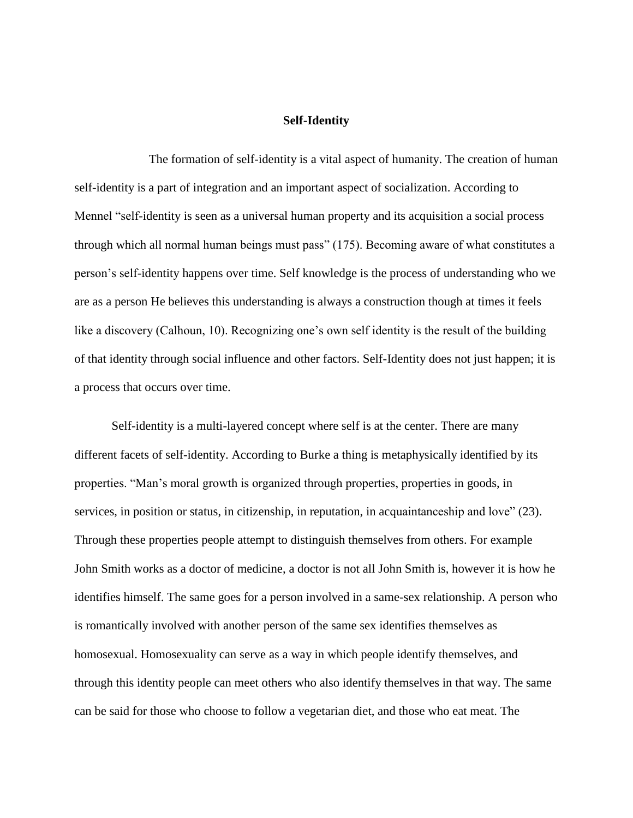#### **Self-Identity**

The formation of self-identity is a vital aspect of humanity. The creation of human self-identity is a part of integration and an important aspect of socialization. According to Mennel "self-identity is seen as a universal human property and its acquisition a social process through which all normal human beings must pass" (175). Becoming aware of what constitutes a person's self-identity happens over time. Self knowledge is the process of understanding who we are as a person He believes this understanding is always a construction though at times it feels like a discovery (Calhoun, 10). Recognizing one's own self identity is the result of the building of that identity through social influence and other factors. Self-Identity does not just happen; it is a process that occurs over time.

Self-identity is a multi-layered concept where self is at the center. There are many different facets of self-identity. According to Burke a thing is metaphysically identified by its properties. "Man's moral growth is organized through properties, properties in goods, in services, in position or status, in citizenship, in reputation, in acquaintanceship and love" (23). Through these properties people attempt to distinguish themselves from others. For example John Smith works as a doctor of medicine, a doctor is not all John Smith is, however it is how he identifies himself. The same goes for a person involved in a same-sex relationship. A person who is romantically involved with another person of the same sex identifies themselves as homosexual. Homosexuality can serve as a way in which people identify themselves, and through this identity people can meet others who also identify themselves in that way. The same can be said for those who choose to follow a vegetarian diet, and those who eat meat. The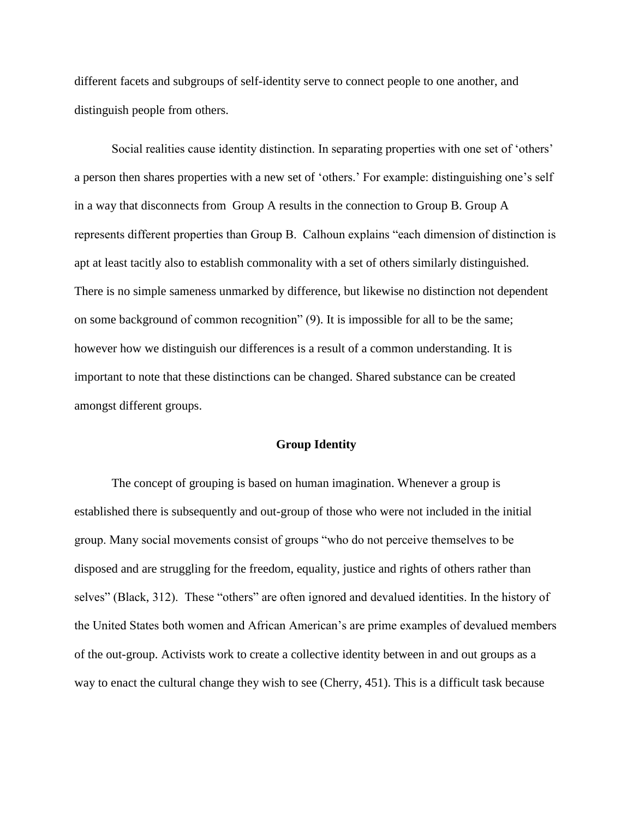different facets and subgroups of self-identity serve to connect people to one another, and distinguish people from others.

Social realities cause identity distinction. In separating properties with one set of 'others' a person then shares properties with a new set of 'others.' For example: distinguishing one's self in a way that disconnects from Group A results in the connection to Group B. Group A represents different properties than Group B. Calhoun explains "each dimension of distinction is apt at least tacitly also to establish commonality with a set of others similarly distinguished. There is no simple sameness unmarked by difference, but likewise no distinction not dependent on some background of common recognition" (9). It is impossible for all to be the same; however how we distinguish our differences is a result of a common understanding. It is important to note that these distinctions can be changed. Shared substance can be created amongst different groups.

#### **Group Identity**

The concept of grouping is based on human imagination. Whenever a group is established there is subsequently and out-group of those who were not included in the initial group. Many social movements consist of groups "who do not perceive themselves to be disposed and are struggling for the freedom, equality, justice and rights of others rather than selves" (Black, 312). These "others" are often ignored and devalued identities. In the history of the United States both women and African American's are prime examples of devalued members of the out-group. Activists work to create a collective identity between in and out groups as a way to enact the cultural change they wish to see (Cherry, 451). This is a difficult task because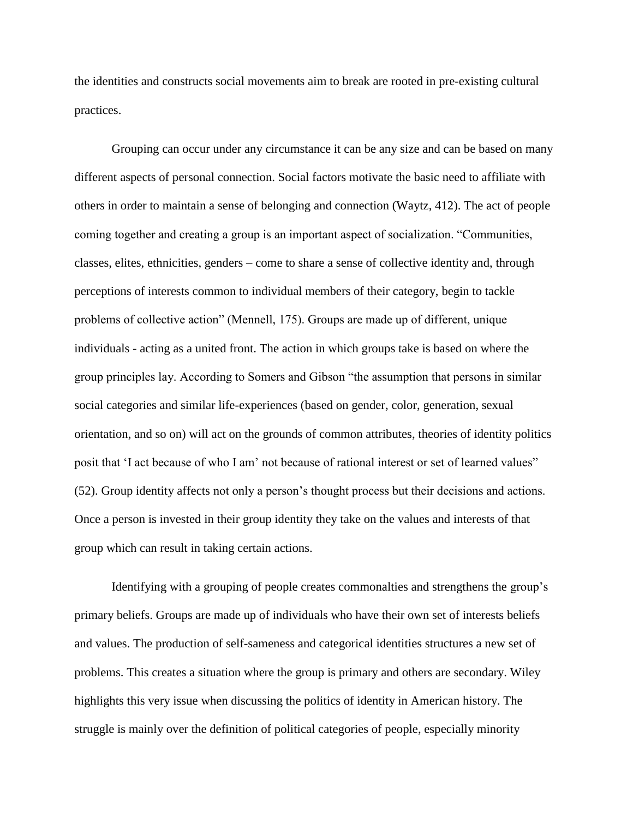the identities and constructs social movements aim to break are rooted in pre-existing cultural practices.

Grouping can occur under any circumstance it can be any size and can be based on many different aspects of personal connection. Social factors motivate the basic need to affiliate with others in order to maintain a sense of belonging and connection (Waytz, 412). The act of people coming together and creating a group is an important aspect of socialization. "Communities, classes, elites, ethnicities, genders – come to share a sense of collective identity and, through perceptions of interests common to individual members of their category, begin to tackle problems of collective action" (Mennell, 175). Groups are made up of different, unique individuals - acting as a united front. The action in which groups take is based on where the group principles lay. According to Somers and Gibson "the assumption that persons in similar social categories and similar life-experiences (based on gender, color, generation, sexual orientation, and so on) will act on the grounds of common attributes, theories of identity politics posit that 'I act because of who I am' not because of rational interest or set of learned values" (52). Group identity affects not only a person's thought process but their decisions and actions. Once a person is invested in their group identity they take on the values and interests of that group which can result in taking certain actions.

Identifying with a grouping of people creates commonalties and strengthens the group's primary beliefs. Groups are made up of individuals who have their own set of interests beliefs and values. The production of self-sameness and categorical identities structures a new set of problems. This creates a situation where the group is primary and others are secondary. Wiley highlights this very issue when discussing the politics of identity in American history. The struggle is mainly over the definition of political categories of people, especially minority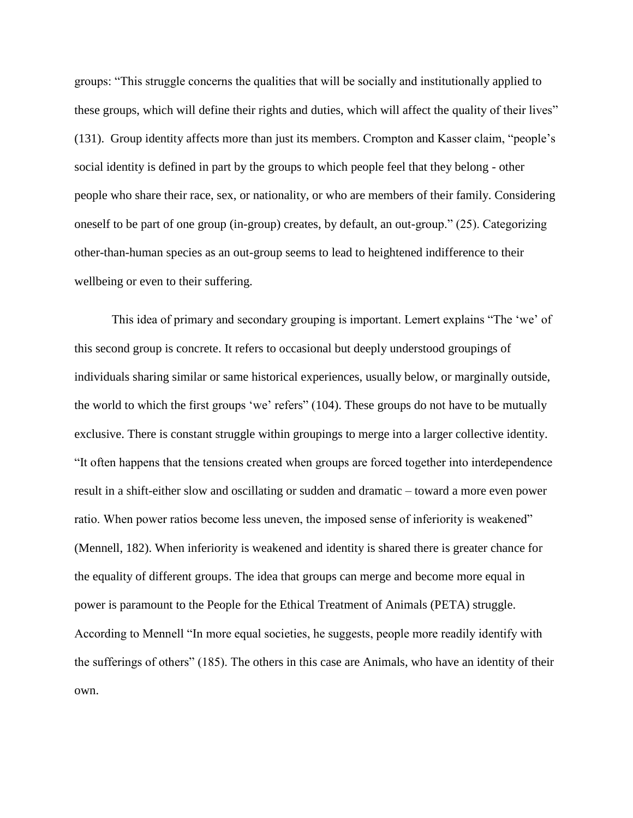groups: "This struggle concerns the qualities that will be socially and institutionally applied to these groups, which will define their rights and duties, which will affect the quality of their lives" (131). Group identity affects more than just its members. Crompton and Kasser claim, "people's social identity is defined in part by the groups to which people feel that they belong - other people who share their race, sex, or nationality, or who are members of their family. Considering oneself to be part of one group (in-group) creates, by default, an out-group." (25). Categorizing other-than-human species as an out-group seems to lead to heightened indifference to their wellbeing or even to their suffering.

This idea of primary and secondary grouping is important. Lemert explains "The 'we' of this second group is concrete. It refers to occasional but deeply understood groupings of individuals sharing similar or same historical experiences, usually below, or marginally outside, the world to which the first groups 'we' refers" (104). These groups do not have to be mutually exclusive. There is constant struggle within groupings to merge into a larger collective identity. "It often happens that the tensions created when groups are forced together into interdependence result in a shift-either slow and oscillating or sudden and dramatic – toward a more even power ratio. When power ratios become less uneven, the imposed sense of inferiority is weakened" (Mennell, 182). When inferiority is weakened and identity is shared there is greater chance for the equality of different groups. The idea that groups can merge and become more equal in power is paramount to the People for the Ethical Treatment of Animals (PETA) struggle. According to Mennell "In more equal societies, he suggests, people more readily identify with the sufferings of others" (185). The others in this case are Animals, who have an identity of their own.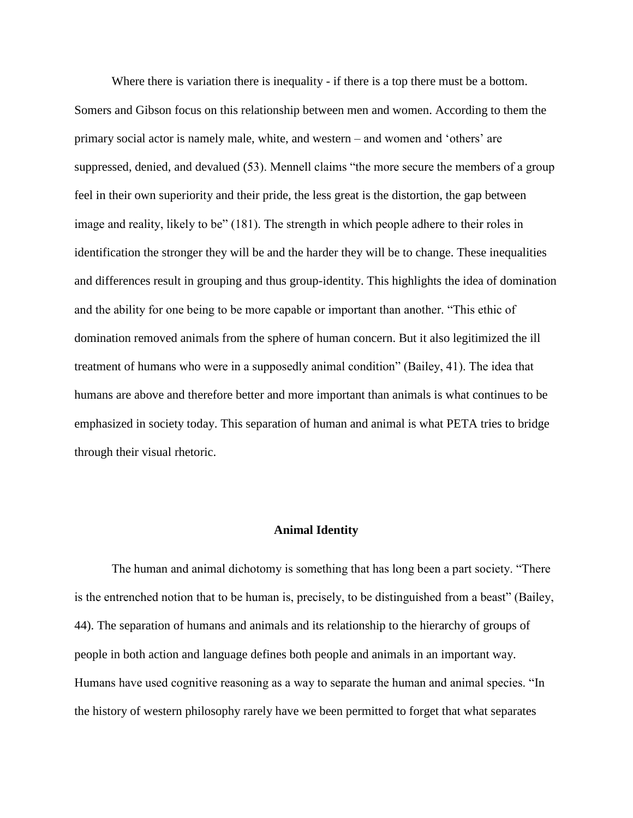Where there is variation there is inequality - if there is a top there must be a bottom. Somers and Gibson focus on this relationship between men and women. According to them the primary social actor is namely male, white, and western – and women and 'others' are suppressed, denied, and devalued (53). Mennell claims "the more secure the members of a group feel in their own superiority and their pride, the less great is the distortion, the gap between image and reality, likely to be" (181). The strength in which people adhere to their roles in identification the stronger they will be and the harder they will be to change. These inequalities and differences result in grouping and thus group-identity. This highlights the idea of domination and the ability for one being to be more capable or important than another. "This ethic of domination removed animals from the sphere of human concern. But it also legitimized the ill treatment of humans who were in a supposedly animal condition" (Bailey, 41). The idea that humans are above and therefore better and more important than animals is what continues to be emphasized in society today. This separation of human and animal is what PETA tries to bridge through their visual rhetoric.

### **Animal Identity**

The human and animal dichotomy is something that has long been a part society. "There is the entrenched notion that to be human is, precisely, to be distinguished from a beast" (Bailey, 44). The separation of humans and animals and its relationship to the hierarchy of groups of people in both action and language defines both people and animals in an important way. Humans have used cognitive reasoning as a way to separate the human and animal species. "In the history of western philosophy rarely have we been permitted to forget that what separates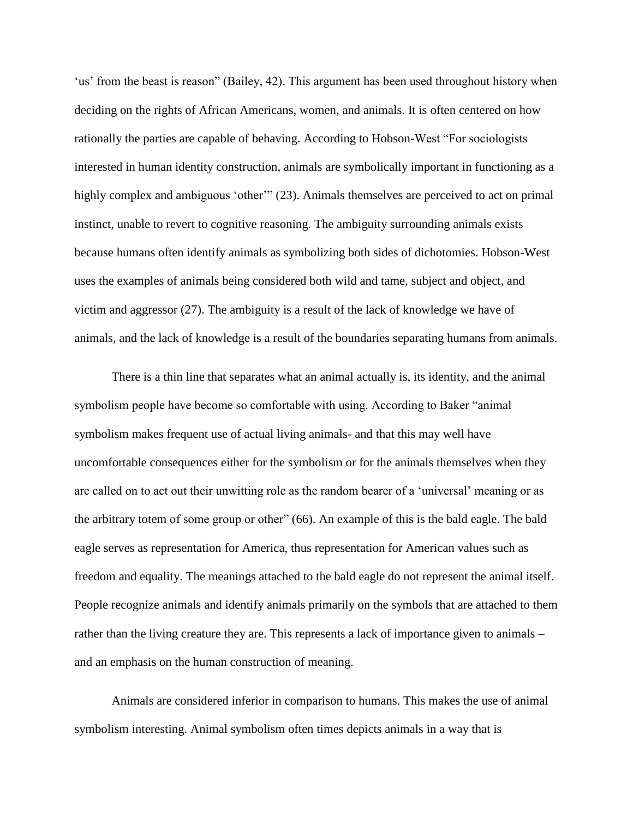'us' from the beast is reason" (Bailey, 42). This argument has been used throughout history when deciding on the rights of African Americans, women, and animals. It is often centered on how rationally the parties are capable of behaving. According to Hobson-West "For sociologists interested in human identity construction, animals are symbolically important in functioning as a highly complex and ambiguous 'other'" (23). Animals themselves are perceived to act on primal instinct, unable to revert to cognitive reasoning. The ambiguity surrounding animals exists because humans often identify animals as symbolizing both sides of dichotomies. Hobson-West uses the examples of animals being considered both wild and tame, subject and object, and victim and aggressor (27). The ambiguity is a result of the lack of knowledge we have of animals, and the lack of knowledge is a result of the boundaries separating humans from animals.

There is a thin line that separates what an animal actually is, its identity, and the animal symbolism people have become so comfortable with using. According to Baker "animal symbolism makes frequent use of actual living animals- and that this may well have uncomfortable consequences either for the symbolism or for the animals themselves when they are called on to act out their unwitting role as the random bearer of a 'universal' meaning or as the arbitrary totem of some group or other" (66). An example of this is the bald eagle. The bald eagle serves as representation for America, thus representation for American values such as freedom and equality. The meanings attached to the bald eagle do not represent the animal itself. People recognize animals and identify animals primarily on the symbols that are attached to them rather than the living creature they are. This represents a lack of importance given to animals – and an emphasis on the human construction of meaning.

Animals are considered inferior in comparison to humans. This makes the use of animal symbolism interesting. Animal symbolism often times depicts animals in a way that is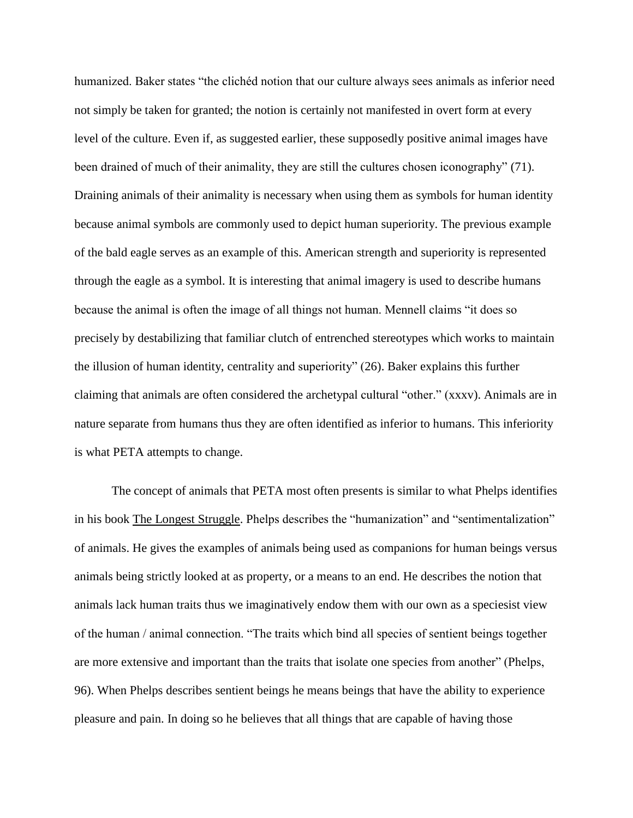humanized. Baker states "the clichéd notion that our culture always sees animals as inferior need not simply be taken for granted; the notion is certainly not manifested in overt form at every level of the culture. Even if, as suggested earlier, these supposedly positive animal images have been drained of much of their animality, they are still the cultures chosen iconography" (71). Draining animals of their animality is necessary when using them as symbols for human identity because animal symbols are commonly used to depict human superiority. The previous example of the bald eagle serves as an example of this. American strength and superiority is represented through the eagle as a symbol. It is interesting that animal imagery is used to describe humans because the animal is often the image of all things not human. Mennell claims "it does so precisely by destabilizing that familiar clutch of entrenched stereotypes which works to maintain the illusion of human identity, centrality and superiority" (26). Baker explains this further claiming that animals are often considered the archetypal cultural "other." (xxxv). Animals are in nature separate from humans thus they are often identified as inferior to humans. This inferiority is what PETA attempts to change.

The concept of animals that PETA most often presents is similar to what Phelps identifies in his book The Longest Struggle. Phelps describes the "humanization" and "sentimentalization" of animals. He gives the examples of animals being used as companions for human beings versus animals being strictly looked at as property, or a means to an end. He describes the notion that animals lack human traits thus we imaginatively endow them with our own as a speciesist view of the human / animal connection. "The traits which bind all species of sentient beings together are more extensive and important than the traits that isolate one species from another" (Phelps, 96). When Phelps describes sentient beings he means beings that have the ability to experience pleasure and pain. In doing so he believes that all things that are capable of having those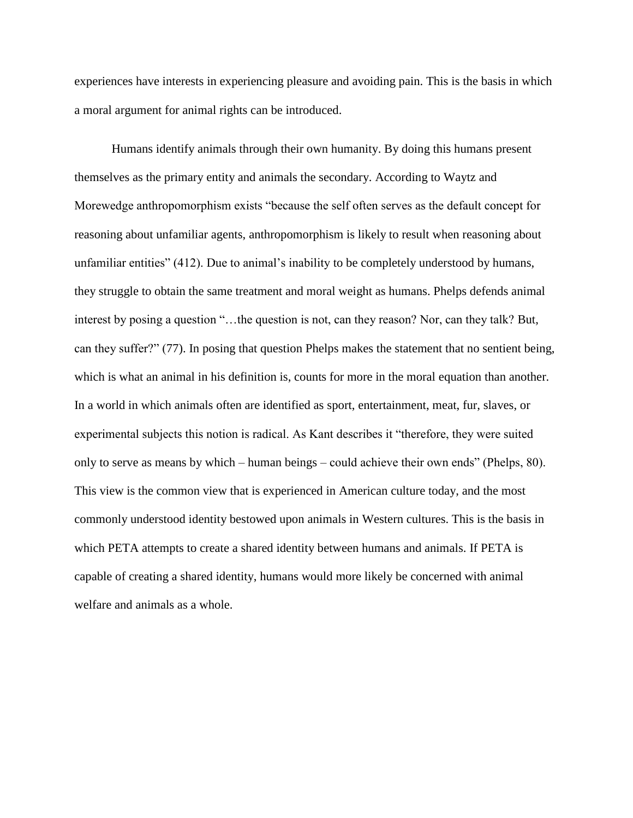experiences have interests in experiencing pleasure and avoiding pain. This is the basis in which a moral argument for animal rights can be introduced.

Humans identify animals through their own humanity. By doing this humans present themselves as the primary entity and animals the secondary. According to Waytz and Morewedge anthropomorphism exists "because the self often serves as the default concept for reasoning about unfamiliar agents, anthropomorphism is likely to result when reasoning about unfamiliar entities" (412). Due to animal's inability to be completely understood by humans, they struggle to obtain the same treatment and moral weight as humans. Phelps defends animal interest by posing a question "…the question is not, can they reason? Nor, can they talk? But, can they suffer?" (77). In posing that question Phelps makes the statement that no sentient being, which is what an animal in his definition is, counts for more in the moral equation than another. In a world in which animals often are identified as sport, entertainment, meat, fur, slaves, or experimental subjects this notion is radical. As Kant describes it "therefore, they were suited only to serve as means by which – human beings – could achieve their own ends" (Phelps, 80). This view is the common view that is experienced in American culture today, and the most commonly understood identity bestowed upon animals in Western cultures. This is the basis in which PETA attempts to create a shared identity between humans and animals. If PETA is capable of creating a shared identity, humans would more likely be concerned with animal welfare and animals as a whole.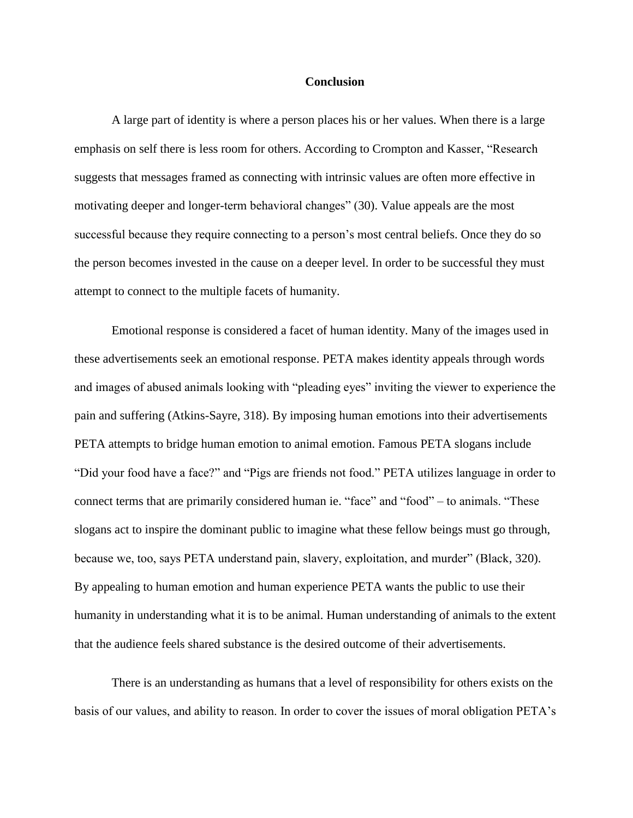#### **Conclusion**

A large part of identity is where a person places his or her values. When there is a large emphasis on self there is less room for others. According to Crompton and Kasser, "Research suggests that messages framed as connecting with intrinsic values are often more effective in motivating deeper and longer-term behavioral changes" (30). Value appeals are the most successful because they require connecting to a person's most central beliefs. Once they do so the person becomes invested in the cause on a deeper level. In order to be successful they must attempt to connect to the multiple facets of humanity.

Emotional response is considered a facet of human identity. Many of the images used in these advertisements seek an emotional response. PETA makes identity appeals through words and images of abused animals looking with "pleading eyes" inviting the viewer to experience the pain and suffering (Atkins-Sayre, 318). By imposing human emotions into their advertisements PETA attempts to bridge human emotion to animal emotion. Famous PETA slogans include "Did your food have a face?" and "Pigs are friends not food." PETA utilizes language in order to connect terms that are primarily considered human ie. "face" and "food" – to animals. "These slogans act to inspire the dominant public to imagine what these fellow beings must go through, because we, too, says PETA understand pain, slavery, exploitation, and murder" (Black, 320). By appealing to human emotion and human experience PETA wants the public to use their humanity in understanding what it is to be animal. Human understanding of animals to the extent that the audience feels shared substance is the desired outcome of their advertisements.

There is an understanding as humans that a level of responsibility for others exists on the basis of our values, and ability to reason. In order to cover the issues of moral obligation PETA's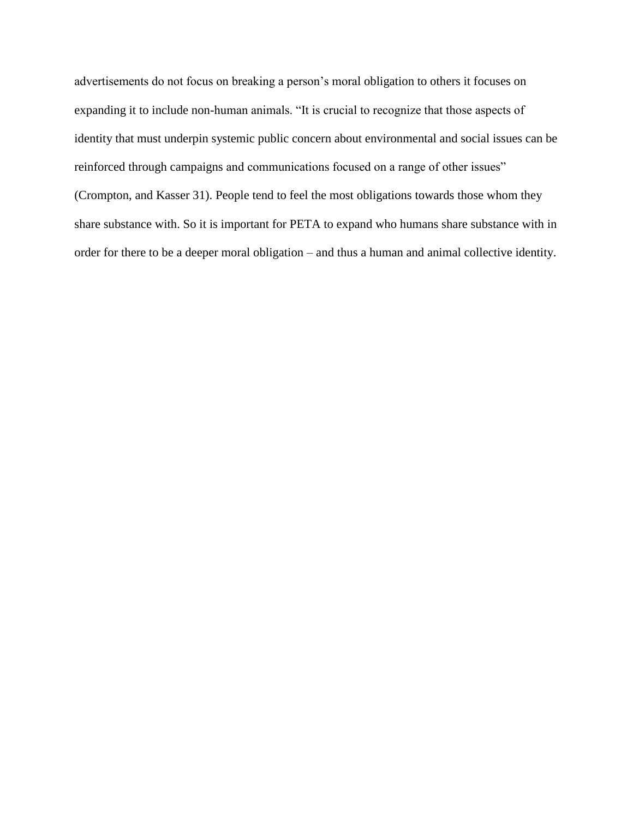advertisements do not focus on breaking a person's moral obligation to others it focuses on expanding it to include non-human animals. "It is crucial to recognize that those aspects of identity that must underpin systemic public concern about environmental and social issues can be reinforced through campaigns and communications focused on a range of other issues" (Crompton, and Kasser 31). People tend to feel the most obligations towards those whom they share substance with. So it is important for PETA to expand who humans share substance with in order for there to be a deeper moral obligation – and thus a human and animal collective identity.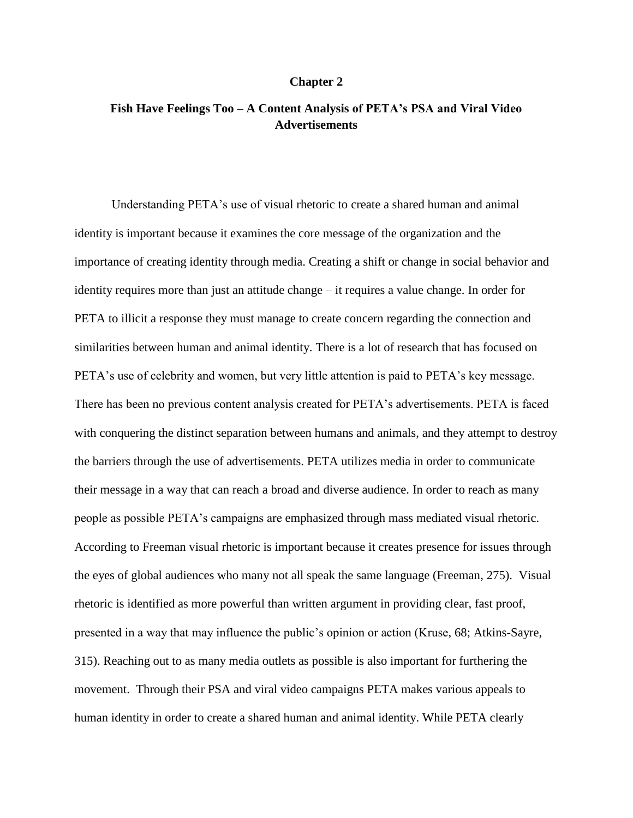# **Chapter 2**

# **Fish Have Feelings Too – A Content Analysis of PETA's PSA and Viral Video Advertisements**

Understanding PETA's use of visual rhetoric to create a shared human and animal identity is important because it examines the core message of the organization and the importance of creating identity through media. Creating a shift or change in social behavior and identity requires more than just an attitude change – it requires a value change. In order for PETA to illicit a response they must manage to create concern regarding the connection and similarities between human and animal identity. There is a lot of research that has focused on PETA's use of celebrity and women, but very little attention is paid to PETA's key message. There has been no previous content analysis created for PETA's advertisements. PETA is faced with conquering the distinct separation between humans and animals, and they attempt to destroy the barriers through the use of advertisements. PETA utilizes media in order to communicate their message in a way that can reach a broad and diverse audience. In order to reach as many people as possible PETA's campaigns are emphasized through mass mediated visual rhetoric. According to Freeman visual rhetoric is important because it creates presence for issues through the eyes of global audiences who many not all speak the same language (Freeman, 275). Visual rhetoric is identified as more powerful than written argument in providing clear, fast proof, presented in a way that may influence the public's opinion or action (Kruse, 68; Atkins-Sayre, 315). Reaching out to as many media outlets as possible is also important for furthering the movement. Through their PSA and viral video campaigns PETA makes various appeals to human identity in order to create a shared human and animal identity. While PETA clearly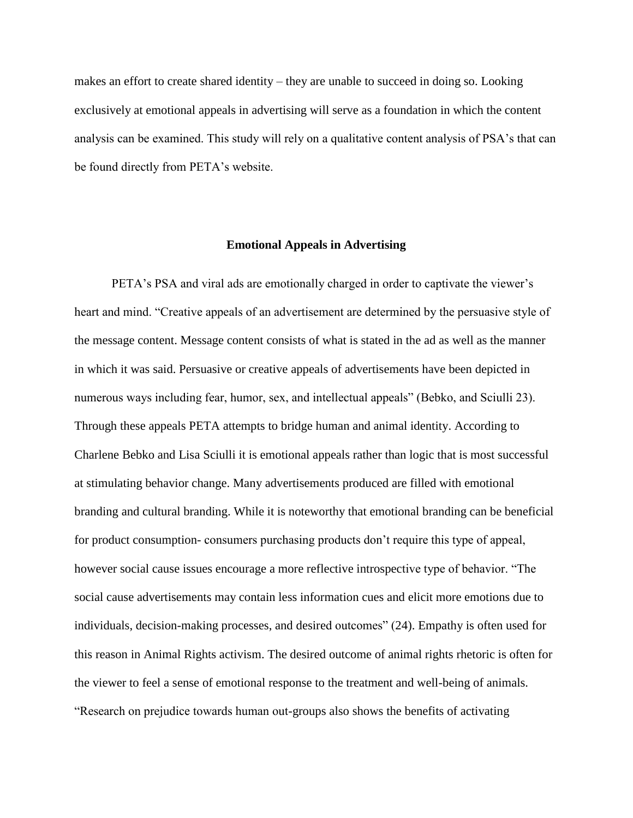makes an effort to create shared identity – they are unable to succeed in doing so. Looking exclusively at emotional appeals in advertising will serve as a foundation in which the content analysis can be examined. This study will rely on a qualitative content analysis of PSA's that can be found directly from PETA's website.

## **Emotional Appeals in Advertising**

PETA's PSA and viral ads are emotionally charged in order to captivate the viewer's heart and mind. "Creative appeals of an advertisement are determined by the persuasive style of the message content. Message content consists of what is stated in the ad as well as the manner in which it was said. Persuasive or creative appeals of advertisements have been depicted in numerous ways including fear, humor, sex, and intellectual appeals" (Bebko, and Sciulli 23). Through these appeals PETA attempts to bridge human and animal identity. According to Charlene Bebko and Lisa Sciulli it is emotional appeals rather than logic that is most successful at stimulating behavior change. Many advertisements produced are filled with emotional branding and cultural branding. While it is noteworthy that emotional branding can be beneficial for product consumption- consumers purchasing products don't require this type of appeal, however social cause issues encourage a more reflective introspective type of behavior. "The social cause advertisements may contain less information cues and elicit more emotions due to individuals, decision-making processes, and desired outcomes" (24). Empathy is often used for this reason in Animal Rights activism. The desired outcome of animal rights rhetoric is often for the viewer to feel a sense of emotional response to the treatment and well-being of animals. "Research on prejudice towards human out-groups also shows the benefits of activating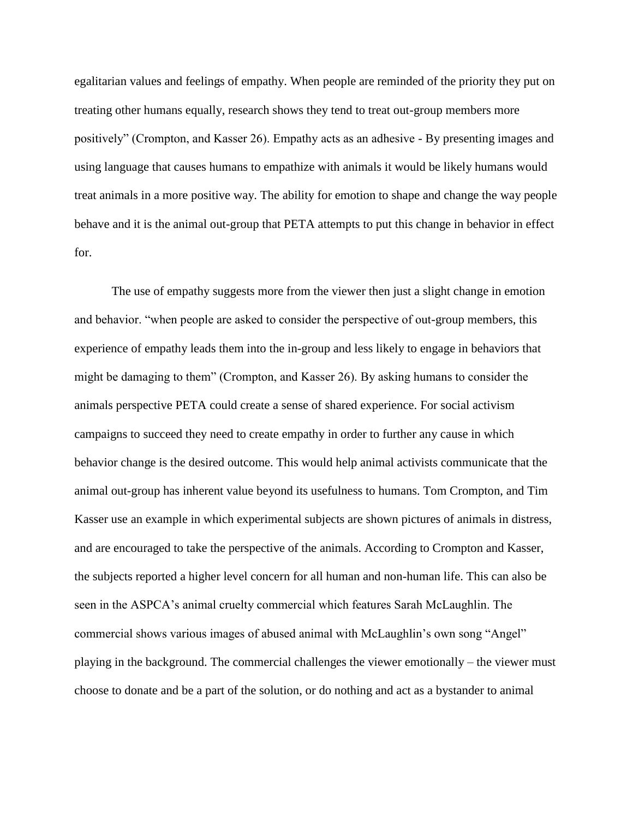egalitarian values and feelings of empathy. When people are reminded of the priority they put on treating other humans equally, research shows they tend to treat out-group members more positively" (Crompton, and Kasser 26). Empathy acts as an adhesive - By presenting images and using language that causes humans to empathize with animals it would be likely humans would treat animals in a more positive way. The ability for emotion to shape and change the way people behave and it is the animal out-group that PETA attempts to put this change in behavior in effect for.

The use of empathy suggests more from the viewer then just a slight change in emotion and behavior. "when people are asked to consider the perspective of out-group members, this experience of empathy leads them into the in-group and less likely to engage in behaviors that might be damaging to them" (Crompton, and Kasser 26). By asking humans to consider the animals perspective PETA could create a sense of shared experience. For social activism campaigns to succeed they need to create empathy in order to further any cause in which behavior change is the desired outcome. This would help animal activists communicate that the animal out-group has inherent value beyond its usefulness to humans. Tom Crompton, and Tim Kasser use an example in which experimental subjects are shown pictures of animals in distress, and are encouraged to take the perspective of the animals. According to Crompton and Kasser, the subjects reported a higher level concern for all human and non-human life. This can also be seen in the ASPCA's animal cruelty commercial which features Sarah McLaughlin. The commercial shows various images of abused animal with McLaughlin's own song "Angel" playing in the background. The commercial challenges the viewer emotionally – the viewer must choose to donate and be a part of the solution, or do nothing and act as a bystander to animal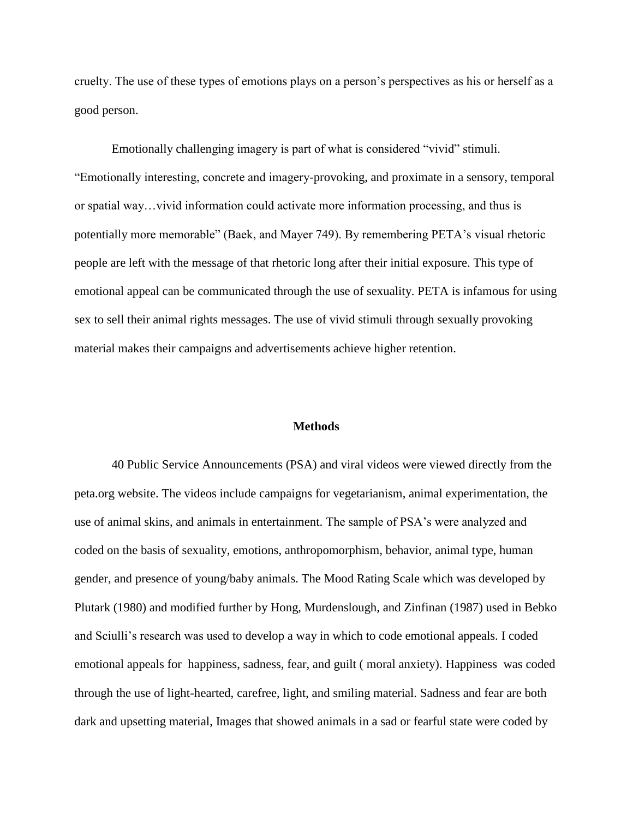cruelty. The use of these types of emotions plays on a person's perspectives as his or herself as a good person.

Emotionally challenging imagery is part of what is considered "vivid" stimuli. "Emotionally interesting, concrete and imagery-provoking, and proximate in a sensory, temporal or spatial way…vivid information could activate more information processing, and thus is potentially more memorable" (Baek, and Mayer 749). By remembering PETA's visual rhetoric people are left with the message of that rhetoric long after their initial exposure. This type of emotional appeal can be communicated through the use of sexuality. PETA is infamous for using sex to sell their animal rights messages. The use of vivid stimuli through sexually provoking material makes their campaigns and advertisements achieve higher retention.

# **Methods**

40 Public Service Announcements (PSA) and viral videos were viewed directly from the peta.org website. The videos include campaigns for vegetarianism, animal experimentation, the use of animal skins, and animals in entertainment. The sample of PSA's were analyzed and coded on the basis of sexuality, emotions, anthropomorphism, behavior, animal type, human gender, and presence of young/baby animals. The Mood Rating Scale which was developed by Plutark (1980) and modified further by Hong, Murdenslough, and Zinfinan (1987) used in Bebko and Sciulli's research was used to develop a way in which to code emotional appeals. I coded emotional appeals for happiness, sadness, fear, and guilt ( moral anxiety). Happiness was coded through the use of light-hearted, carefree, light, and smiling material. Sadness and fear are both dark and upsetting material, Images that showed animals in a sad or fearful state were coded by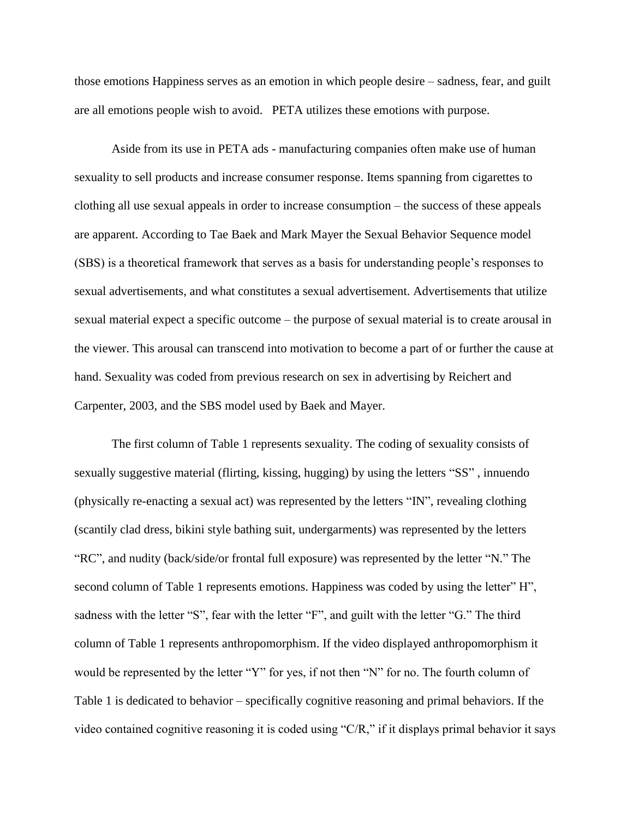those emotions Happiness serves as an emotion in which people desire – sadness, fear, and guilt are all emotions people wish to avoid. PETA utilizes these emotions with purpose.

Aside from its use in PETA ads - manufacturing companies often make use of human sexuality to sell products and increase consumer response. Items spanning from cigarettes to clothing all use sexual appeals in order to increase consumption – the success of these appeals are apparent. According to Tae Baek and Mark Mayer the Sexual Behavior Sequence model (SBS) is a theoretical framework that serves as a basis for understanding people's responses to sexual advertisements, and what constitutes a sexual advertisement. Advertisements that utilize sexual material expect a specific outcome – the purpose of sexual material is to create arousal in the viewer. This arousal can transcend into motivation to become a part of or further the cause at hand. Sexuality was coded from previous research on sex in advertising by Reichert and Carpenter, 2003, and the SBS model used by Baek and Mayer.

The first column of Table 1 represents sexuality. The coding of sexuality consists of sexually suggestive material (flirting, kissing, hugging) by using the letters "SS" , innuendo (physically re-enacting a sexual act) was represented by the letters "IN", revealing clothing (scantily clad dress, bikini style bathing suit, undergarments) was represented by the letters "RC", and nudity (back/side/or frontal full exposure) was represented by the letter "N." The second column of Table 1 represents emotions. Happiness was coded by using the letter" H", sadness with the letter "S", fear with the letter "F", and guilt with the letter "G." The third column of Table 1 represents anthropomorphism. If the video displayed anthropomorphism it would be represented by the letter "Y" for yes, if not then "N" for no. The fourth column of Table 1 is dedicated to behavior – specifically cognitive reasoning and primal behaviors. If the video contained cognitive reasoning it is coded using "C/R," if it displays primal behavior it says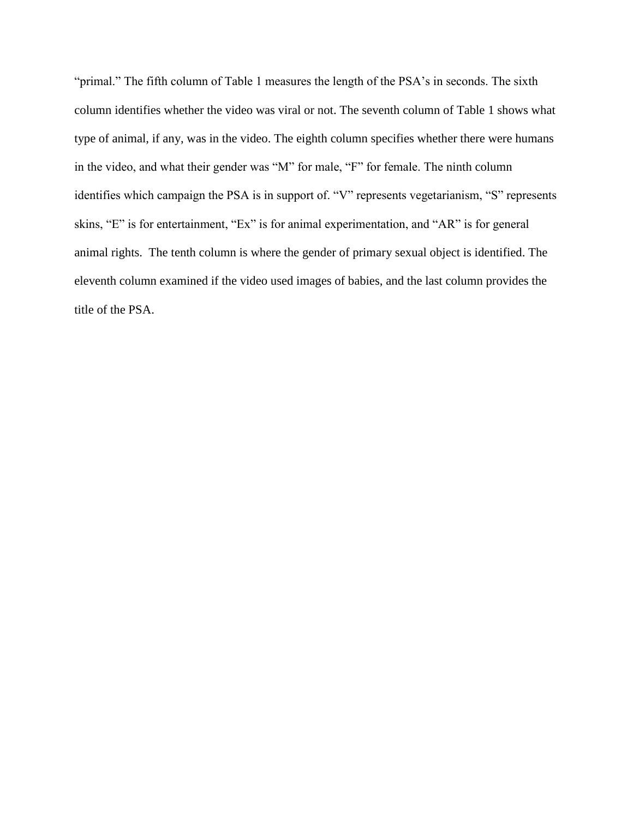"primal." The fifth column of Table 1 measures the length of the PSA's in seconds. The sixth column identifies whether the video was viral or not. The seventh column of Table 1 shows what type of animal, if any, was in the video. The eighth column specifies whether there were humans in the video, and what their gender was "M" for male, "F" for female. The ninth column identifies which campaign the PSA is in support of. "V" represents vegetarianism, "S" represents skins, "E" is for entertainment, "Ex" is for animal experimentation, and "AR" is for general animal rights. The tenth column is where the gender of primary sexual object is identified. The eleventh column examined if the video used images of babies, and the last column provides the title of the PSA.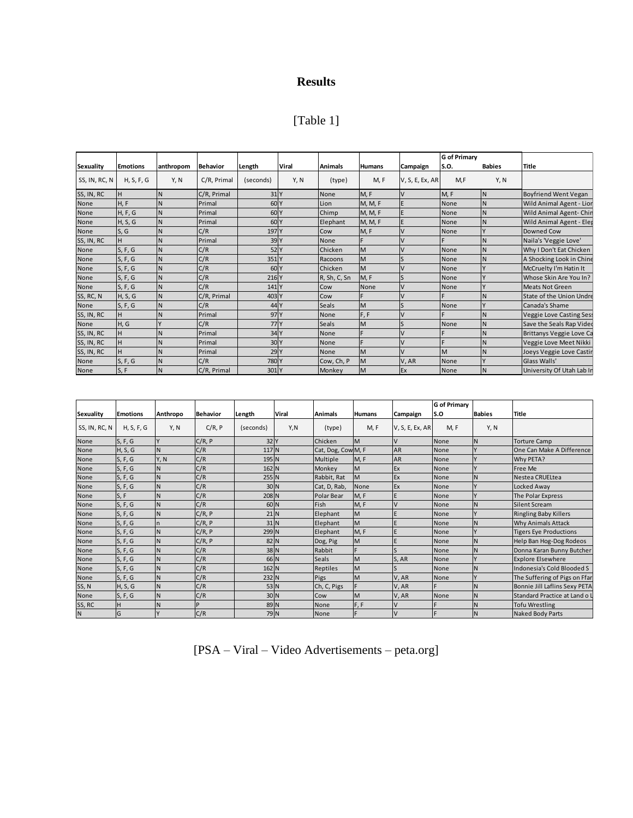# **Results**

| [Table 1 |  |
|----------|--|
|----------|--|

|               |                 |           |                 |                  |       |                |               |                 | <b>G</b> of Primary |               |                             |
|---------------|-----------------|-----------|-----------------|------------------|-------|----------------|---------------|-----------------|---------------------|---------------|-----------------------------|
| Sexuality     | <b>Emotions</b> | anthropom | <b>Behavior</b> | Length           | Viral | <b>Animals</b> | <b>Humans</b> | Campaign        | S.O.                | <b>Babies</b> | <b>Title</b>                |
| SS, IN, RC, N | H, S, F, G      | Y, N      | C/R, Primal     | (seconds)        | Y, N  | (type)         | M, F          | V, S, E, Ex, AR | M, F                | Y, N          |                             |
| SS, IN, RC    |                 | IN        | C/R, Primal     | 31 Y             |       | None           | M, F          |                 | M, F                |               | <b>Boyfriend Went Vegan</b> |
| None          | H, F            | IN        | Primal          | 60 <sub>Y</sub>  |       | Lion           | M, M, F       |                 | None                |               | Wild Animal Agent - Lior    |
| None          | H, F, G         | <b>N</b>  | Primal          | 60 <sub>Y</sub>  |       | Chimp          | M, M, F       |                 | None                |               | Wild Animal Agent-Chir      |
| None          | H, S, G         | N         | Primal          | 60 <sub>Y</sub>  |       | Elephant       | M, M, F       |                 | None                |               | Wild Animal Agent - Eler    |
| None          | S, G            | N         | C/R             | 197 Y            |       | Cow            | M, F          |                 | None                |               | Downed Cow                  |
| SS, IN, RC    |                 | IN        | Primal          | 39 <sub>Y</sub>  |       | None           |               |                 |                     |               | Naila's 'Veggie Love'       |
| None          | S, F, G         | N         | C/R             | 52 <sub>Y</sub>  |       | Chicken        | M             |                 | None                |               | Why I Don't Eat Chicken     |
| None          | S, F, G         | IN        | C/R             | 351 Y            |       | Racoons        | M             |                 | None                |               | A Shocking Look in Chine    |
| None          | S, F, G         | IN        | C/R             | 60 <sub>Y</sub>  |       | Chicken        | M             |                 | None                |               | McCruelty I'm Hatin It      |
| None          | S, F, G         | IN        | C/R             | 216 Y            |       | R, Sh, C, Sn   | M, F          | S               | None                |               | Whose Skin Are You In?      |
| None          | S, F, G         | <b>N</b>  | C/R             | 141 <sup>Y</sup> |       | Cow            | None          |                 | None                |               | <b>Meats Not Green</b>      |
| SS, RC, N     | H, S, G         | N         | C/R, Primal     | 403 Y            |       | Cow            |               |                 |                     |               | State of the Union Undre    |
| None          | S, F, G         | N         | C/R             | 44 Y             |       | Seals          | M             |                 | None                |               | Canada's Shame              |
| SS, IN, RC    |                 |           | Primal          | 97 <sup>Y</sup>  |       | None           | F, F          |                 |                     |               | Veggie Love Casting Sess    |
| None          | H, G            |           | C/R             | 77 <sup>IY</sup> |       | Seals          | M             |                 | None                |               | Save the Seals Rap Video    |
| SS, IN, RC    | н               |           | Primal          | 34 Y             |       | None           | F             |                 |                     |               | Brittanys Veggie Love Ca    |
| SS, IN, RC    | н               | N         | Primal          | 30 <sub>Y</sub>  |       | None           | F             |                 |                     |               | Veggie Love Meet Nikki      |
| SS, IN, RC    |                 | IN        | Primal          | 29 <sub>Y</sub>  |       | None           | M             |                 | M                   |               | Joeys Veggie Love Castir    |
| None          | S, F, G         | N         | C/R             | 780 Y            |       | Cow, Ch, P     | M             | V, AR           | None                |               | Glass Walls'                |
| None          | S, F            | N         | C/R, Primal     | 301 Y            |       | Monkey         | M             | Ex              | None                |               | University Of Utah Lab Ir   |

|               |                 |          |                 |                  |       |                   |               |                 | <b>G</b> of Primary |               |                               |
|---------------|-----------------|----------|-----------------|------------------|-------|-------------------|---------------|-----------------|---------------------|---------------|-------------------------------|
| Sexuality     | <b>Emotions</b> | Anthropo | <b>Behavior</b> | Length           | Viral | <b>Animals</b>    | <b>Humans</b> | Campaign        | ls.o                | <b>Babies</b> | <b>Title</b>                  |
| SS, IN, RC, N | H, S, F, G      | Y, N     | C/R, P          | (seconds)        | Y,N   | (type)            | M, F          | V, S, E, Ex, AR | <b>M.F</b>          | Y, N          |                               |
| None          | S, F, G         |          | C/R, P          | 32 Y             |       | Chicken           | M             | V               | None                | IN.           | <b>Torture Camp</b>           |
| None          | H, S, G         |          | C/R             | 117 N            |       | Cat, Dog, CowM, F |               | <b>AR</b>       | None                |               | One Can Make A Difference     |
| None          | S, F, G         | Y, N     | C/R             | 195 N            |       | Multiple          | M, F          | <b>AR</b>       | None                |               | Why PETA?                     |
| None          | S, F, G         |          | C/R             | 162 N            |       | Monkey            | M             | Ex              | None                |               | Free Me                       |
| None          | S, F, G         |          | C/R             | 255 N            |       | Rabbit, Rat       | <b>M</b>      | Ex              | None                |               | Nestea CRUELtea               |
| None          | S, F, G         |          | C/R             | 30 <sub>N</sub>  |       | Cat, D, Rab,      | None          | Ex              | None                |               | Locked Away                   |
| None          | S, F            |          | C/R             | 208 N            |       | Polar Bear        | M, F          |                 | None                |               | The Polar Express             |
| None          | S, F, G         |          | C/R             | 60 <sub>N</sub>  |       | Fish              | M, F          |                 | None                |               | <b>Silent Scream</b>          |
| None          | S, F, G         |          | C/R, P          | $21$ N           |       | Elephant          | M             |                 | None                |               | <b>Ringling Baby Killers</b>  |
| None          | S, F, G         |          | C/R, P          | $31$ N           |       | Elephant          | M             |                 | None                |               | <b>Why Animals Attack</b>     |
| None          | S, F, G         |          | C/R, P          | 299 <sub>N</sub> |       | Elephant          | M, F          |                 | None                |               | <b>Tigers Eye Productions</b> |
| None          | S, F, G         |          | C/R, P          | 82 N             |       | Dog, Pig          | M             |                 | None                | IN            | Help Ban Hog-Dog Rodeos       |
| None          | S, F, G         |          | C/R             | 38 N             |       | Rabbit            | F             |                 | None                | ΙN            | Donna Karan Bunny Butcher     |
| None          | S, F, G         |          | C/R             | 66 N             |       | <b>Seals</b>      | M             | S, AR           | None                |               | <b>Explore Elsewhere</b>      |
| None          | S, F, G         |          | C/R             | 162 N            |       | Reptiles          | M             |                 | None                | IN            | Indonesia's Cold Blooded S    |
| None          | S, F, G         |          | C/R             | 232 N            |       | Pigs              | M             | V, AR           | None                |               | The Suffering of Pigs on Ffar |
| SS, N         | H, S, G         |          | C/R             | 53 N             |       | Ch, C, Pigs       | F             | V, AR           |                     | IN            | Bonnie Jill Laflins Sexy PETA |
| None          | S, F, G         |          | C/R             | 30 <sub>N</sub>  |       | Cow               | M             | V, AR           | None                | IN            | Standard Practice at Land o   |
| SS, RC        | H               |          | P               | 89 N             |       | None              | F, F          | V               |                     | IN            | <b>Tofu Wrestling</b>         |
| N             | G               |          | C/R             | 79 N             |       | None              | F             | V               |                     | <b>N</b>      | <b>Naked Body Parts</b>       |

[PSA – Viral – Video Advertisements – peta.org]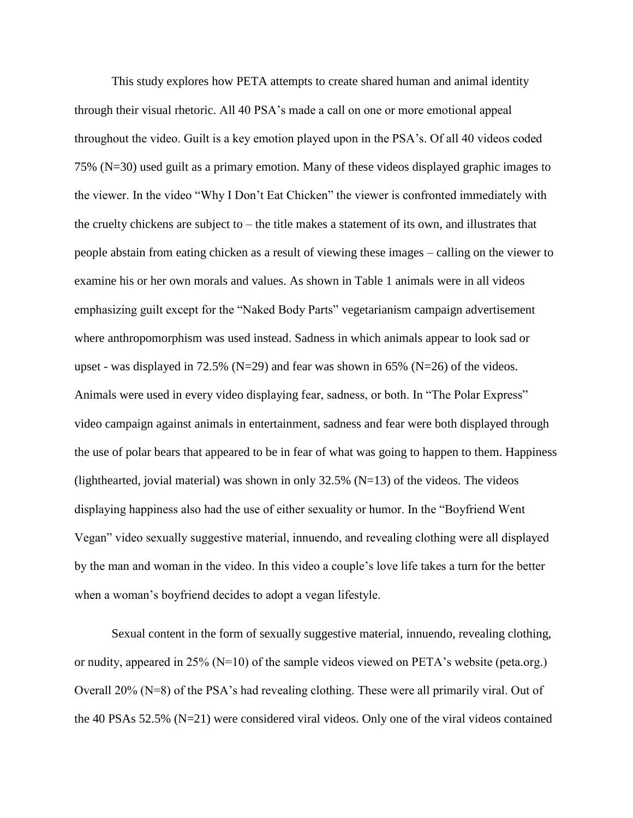This study explores how PETA attempts to create shared human and animal identity through their visual rhetoric. All 40 PSA's made a call on one or more emotional appeal throughout the video. Guilt is a key emotion played upon in the PSA's. Of all 40 videos coded 75% (N=30) used guilt as a primary emotion. Many of these videos displayed graphic images to the viewer. In the video "Why I Don't Eat Chicken" the viewer is confronted immediately with the cruelty chickens are subject to – the title makes a statement of its own, and illustrates that people abstain from eating chicken as a result of viewing these images – calling on the viewer to examine his or her own morals and values. As shown in Table 1 animals were in all videos emphasizing guilt except for the "Naked Body Parts" vegetarianism campaign advertisement where anthropomorphism was used instead. Sadness in which animals appear to look sad or upset - was displayed in 72.5% (N=29) and fear was shown in 65% (N=26) of the videos. Animals were used in every video displaying fear, sadness, or both. In "The Polar Express" video campaign against animals in entertainment, sadness and fear were both displayed through the use of polar bears that appeared to be in fear of what was going to happen to them. Happiness (lighthearted, jovial material) was shown in only  $32.5\%$  (N=13) of the videos. The videos displaying happiness also had the use of either sexuality or humor. In the "Boyfriend Went Vegan" video sexually suggestive material, innuendo, and revealing clothing were all displayed by the man and woman in the video. In this video a couple's love life takes a turn for the better when a woman's boyfriend decides to adopt a vegan lifestyle.

Sexual content in the form of sexually suggestive material, innuendo, revealing clothing, or nudity, appeared in 25% (N=10) of the sample videos viewed on PETA's website (peta.org.) Overall 20% (N=8) of the PSA's had revealing clothing. These were all primarily viral. Out of the 40 PSAs 52.5% (N=21) were considered viral videos. Only one of the viral videos contained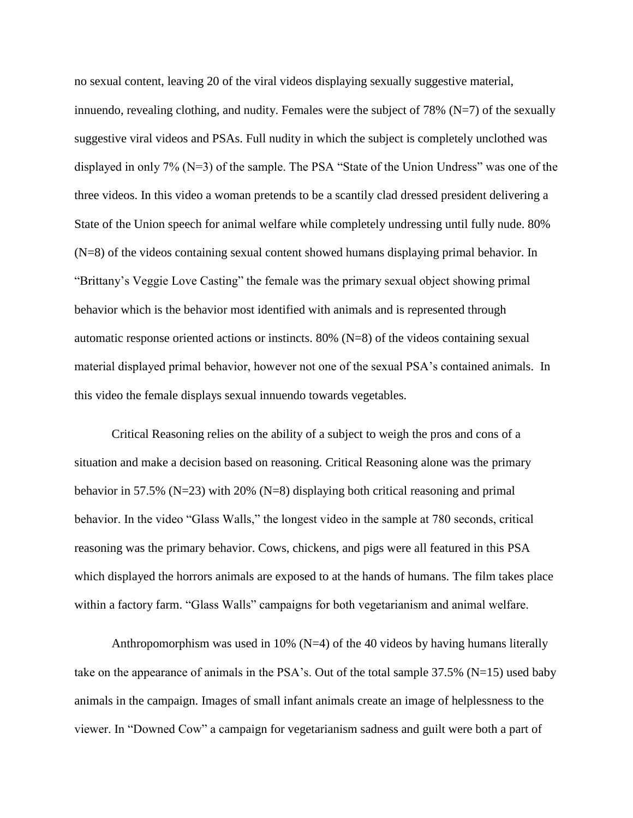no sexual content, leaving 20 of the viral videos displaying sexually suggestive material, innuendo, revealing clothing, and nudity. Females were the subject of 78% ( $N=7$ ) of the sexually suggestive viral videos and PSAs. Full nudity in which the subject is completely unclothed was displayed in only 7% (N=3) of the sample. The PSA "State of the Union Undress" was one of the three videos. In this video a woman pretends to be a scantily clad dressed president delivering a State of the Union speech for animal welfare while completely undressing until fully nude. 80% (N=8) of the videos containing sexual content showed humans displaying primal behavior. In "Brittany's Veggie Love Casting" the female was the primary sexual object showing primal behavior which is the behavior most identified with animals and is represented through automatic response oriented actions or instincts. 80% (N=8) of the videos containing sexual material displayed primal behavior, however not one of the sexual PSA's contained animals. In this video the female displays sexual innuendo towards vegetables.

Critical Reasoning relies on the ability of a subject to weigh the pros and cons of a situation and make a decision based on reasoning. Critical Reasoning alone was the primary behavior in 57.5% (N=23) with 20% (N=8) displaying both critical reasoning and primal behavior. In the video "Glass Walls," the longest video in the sample at 780 seconds, critical reasoning was the primary behavior. Cows, chickens, and pigs were all featured in this PSA which displayed the horrors animals are exposed to at the hands of humans. The film takes place within a factory farm. "Glass Walls" campaigns for both vegetarianism and animal welfare.

Anthropomorphism was used in 10% ( $N=4$ ) of the 40 videos by having humans literally take on the appearance of animals in the PSA's. Out of the total sample  $37.5\%$  (N=15) used baby animals in the campaign. Images of small infant animals create an image of helplessness to the viewer. In "Downed Cow" a campaign for vegetarianism sadness and guilt were both a part of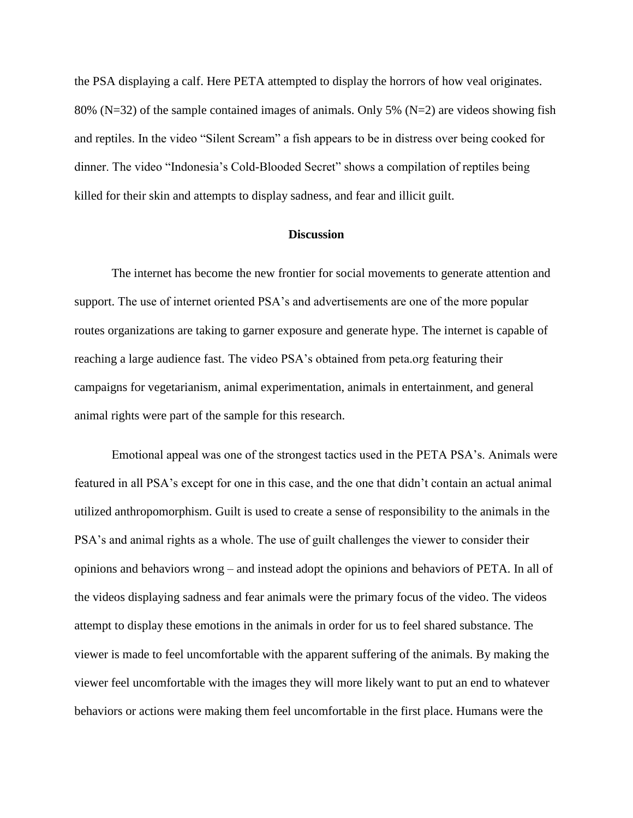the PSA displaying a calf. Here PETA attempted to display the horrors of how veal originates. 80% (N=32) of the sample contained images of animals. Only 5% (N=2) are videos showing fish and reptiles. In the video "Silent Scream" a fish appears to be in distress over being cooked for dinner. The video "Indonesia's Cold-Blooded Secret" shows a compilation of reptiles being killed for their skin and attempts to display sadness, and fear and illicit guilt.

# **Discussion**

The internet has become the new frontier for social movements to generate attention and support. The use of internet oriented PSA's and advertisements are one of the more popular routes organizations are taking to garner exposure and generate hype. The internet is capable of reaching a large audience fast. The video PSA's obtained from peta.org featuring their campaigns for vegetarianism, animal experimentation, animals in entertainment, and general animal rights were part of the sample for this research.

Emotional appeal was one of the strongest tactics used in the PETA PSA's. Animals were featured in all PSA's except for one in this case, and the one that didn't contain an actual animal utilized anthropomorphism. Guilt is used to create a sense of responsibility to the animals in the PSA's and animal rights as a whole. The use of guilt challenges the viewer to consider their opinions and behaviors wrong – and instead adopt the opinions and behaviors of PETA. In all of the videos displaying sadness and fear animals were the primary focus of the video. The videos attempt to display these emotions in the animals in order for us to feel shared substance. The viewer is made to feel uncomfortable with the apparent suffering of the animals. By making the viewer feel uncomfortable with the images they will more likely want to put an end to whatever behaviors or actions were making them feel uncomfortable in the first place. Humans were the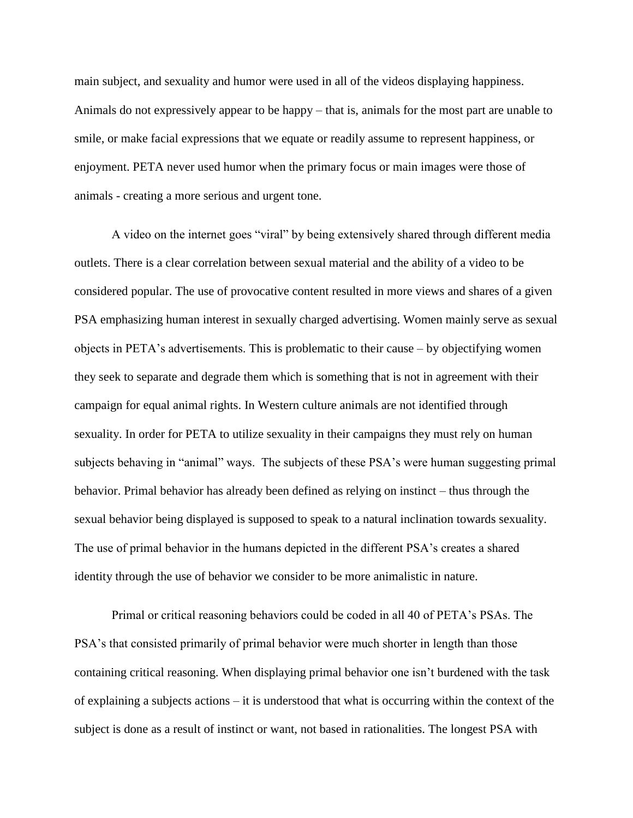main subject, and sexuality and humor were used in all of the videos displaying happiness. Animals do not expressively appear to be happy – that is, animals for the most part are unable to smile, or make facial expressions that we equate or readily assume to represent happiness, or enjoyment. PETA never used humor when the primary focus or main images were those of animals - creating a more serious and urgent tone.

A video on the internet goes "viral" by being extensively shared through different media outlets. There is a clear correlation between sexual material and the ability of a video to be considered popular. The use of provocative content resulted in more views and shares of a given PSA emphasizing human interest in sexually charged advertising. Women mainly serve as sexual objects in PETA's advertisements. This is problematic to their cause – by objectifying women they seek to separate and degrade them which is something that is not in agreement with their campaign for equal animal rights. In Western culture animals are not identified through sexuality. In order for PETA to utilize sexuality in their campaigns they must rely on human subjects behaving in "animal" ways. The subjects of these PSA's were human suggesting primal behavior. Primal behavior has already been defined as relying on instinct – thus through the sexual behavior being displayed is supposed to speak to a natural inclination towards sexuality. The use of primal behavior in the humans depicted in the different PSA's creates a shared identity through the use of behavior we consider to be more animalistic in nature.

Primal or critical reasoning behaviors could be coded in all 40 of PETA's PSAs. The PSA's that consisted primarily of primal behavior were much shorter in length than those containing critical reasoning. When displaying primal behavior one isn't burdened with the task of explaining a subjects actions – it is understood that what is occurring within the context of the subject is done as a result of instinct or want, not based in rationalities. The longest PSA with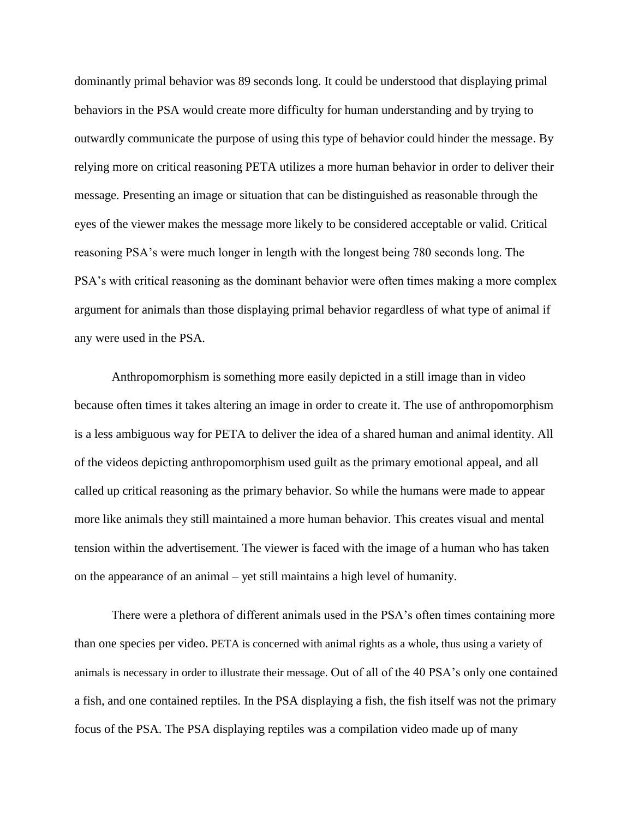dominantly primal behavior was 89 seconds long. It could be understood that displaying primal behaviors in the PSA would create more difficulty for human understanding and by trying to outwardly communicate the purpose of using this type of behavior could hinder the message. By relying more on critical reasoning PETA utilizes a more human behavior in order to deliver their message. Presenting an image or situation that can be distinguished as reasonable through the eyes of the viewer makes the message more likely to be considered acceptable or valid. Critical reasoning PSA's were much longer in length with the longest being 780 seconds long. The PSA's with critical reasoning as the dominant behavior were often times making a more complex argument for animals than those displaying primal behavior regardless of what type of animal if any were used in the PSA.

Anthropomorphism is something more easily depicted in a still image than in video because often times it takes altering an image in order to create it. The use of anthropomorphism is a less ambiguous way for PETA to deliver the idea of a shared human and animal identity. All of the videos depicting anthropomorphism used guilt as the primary emotional appeal, and all called up critical reasoning as the primary behavior. So while the humans were made to appear more like animals they still maintained a more human behavior. This creates visual and mental tension within the advertisement. The viewer is faced with the image of a human who has taken on the appearance of an animal – yet still maintains a high level of humanity.

There were a plethora of different animals used in the PSA's often times containing more than one species per video. PETA is concerned with animal rights as a whole, thus using a variety of animals is necessary in order to illustrate their message. Out of all of the 40 PSA's only one contained a fish, and one contained reptiles. In the PSA displaying a fish, the fish itself was not the primary focus of the PSA. The PSA displaying reptiles was a compilation video made up of many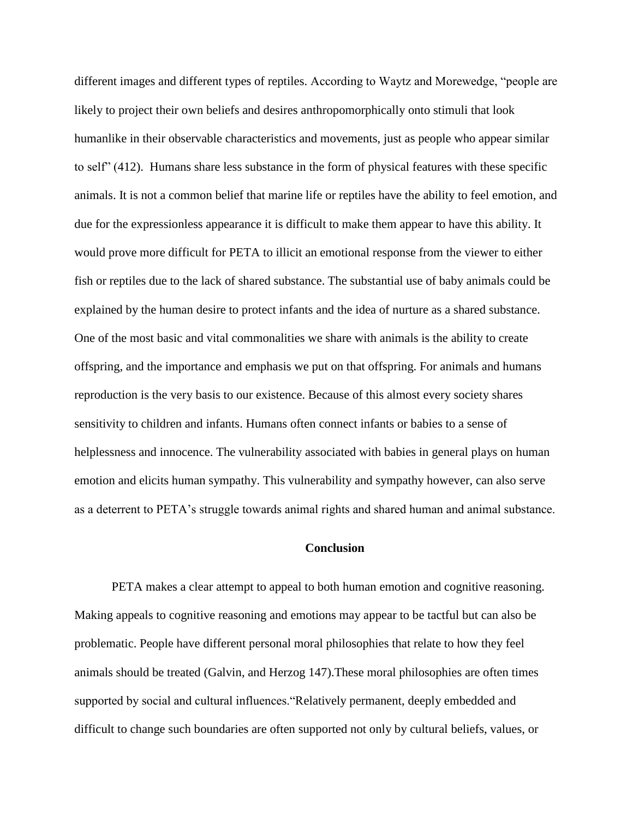different images and different types of reptiles. According to Waytz and Morewedge, "people are likely to project their own beliefs and desires anthropomorphically onto stimuli that look humanlike in their observable characteristics and movements, just as people who appear similar to self" (412). Humans share less substance in the form of physical features with these specific animals. It is not a common belief that marine life or reptiles have the ability to feel emotion, and due for the expressionless appearance it is difficult to make them appear to have this ability. It would prove more difficult for PETA to illicit an emotional response from the viewer to either fish or reptiles due to the lack of shared substance. The substantial use of baby animals could be explained by the human desire to protect infants and the idea of nurture as a shared substance. One of the most basic and vital commonalities we share with animals is the ability to create offspring, and the importance and emphasis we put on that offspring. For animals and humans reproduction is the very basis to our existence. Because of this almost every society shares sensitivity to children and infants. Humans often connect infants or babies to a sense of helplessness and innocence. The vulnerability associated with babies in general plays on human emotion and elicits human sympathy. This vulnerability and sympathy however, can also serve as a deterrent to PETA's struggle towards animal rights and shared human and animal substance.

# **Conclusion**

PETA makes a clear attempt to appeal to both human emotion and cognitive reasoning. Making appeals to cognitive reasoning and emotions may appear to be tactful but can also be problematic. People have different personal moral philosophies that relate to how they feel animals should be treated (Galvin, and Herzog 147).These moral philosophies are often times supported by social and cultural influences."Relatively permanent, deeply embedded and difficult to change such boundaries are often supported not only by cultural beliefs, values, or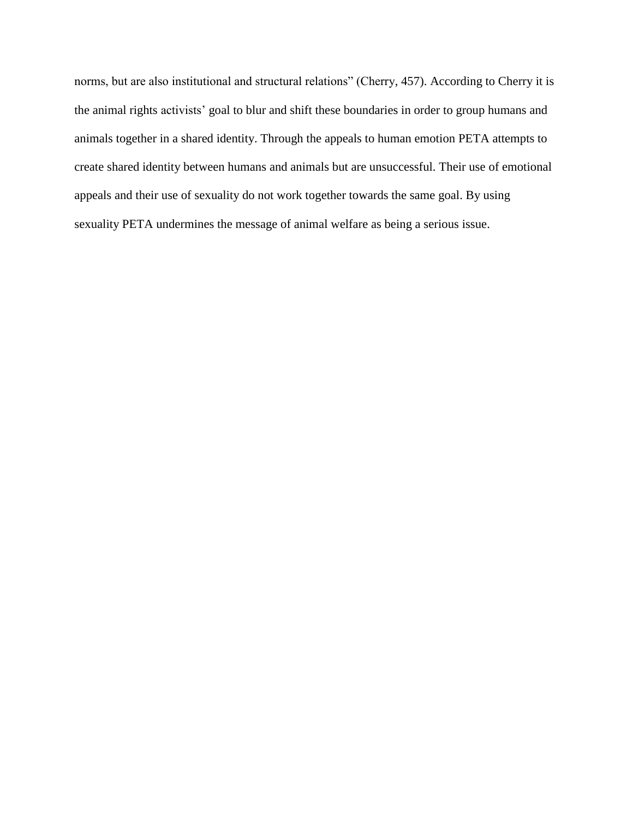norms, but are also institutional and structural relations" (Cherry, 457). According to Cherry it is the animal rights activists' goal to blur and shift these boundaries in order to group humans and animals together in a shared identity. Through the appeals to human emotion PETA attempts to create shared identity between humans and animals but are unsuccessful. Their use of emotional appeals and their use of sexuality do not work together towards the same goal. By using sexuality PETA undermines the message of animal welfare as being a serious issue.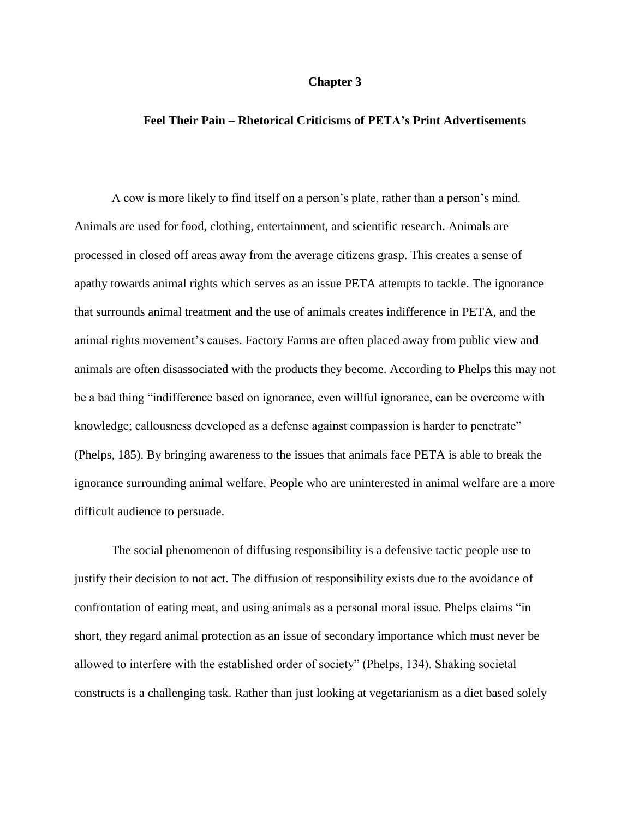### **Chapter 3**

# **Feel Their Pain – Rhetorical Criticisms of PETA's Print Advertisements**

A cow is more likely to find itself on a person's plate, rather than a person's mind. Animals are used for food, clothing, entertainment, and scientific research. Animals are processed in closed off areas away from the average citizens grasp. This creates a sense of apathy towards animal rights which serves as an issue PETA attempts to tackle. The ignorance that surrounds animal treatment and the use of animals creates indifference in PETA, and the animal rights movement's causes. Factory Farms are often placed away from public view and animals are often disassociated with the products they become. According to Phelps this may not be a bad thing "indifference based on ignorance, even willful ignorance, can be overcome with knowledge; callousness developed as a defense against compassion is harder to penetrate" (Phelps, 185). By bringing awareness to the issues that animals face PETA is able to break the ignorance surrounding animal welfare. People who are uninterested in animal welfare are a more difficult audience to persuade.

The social phenomenon of diffusing responsibility is a defensive tactic people use to justify their decision to not act. The diffusion of responsibility exists due to the avoidance of confrontation of eating meat, and using animals as a personal moral issue. Phelps claims "in short, they regard animal protection as an issue of secondary importance which must never be allowed to interfere with the established order of society" (Phelps, 134). Shaking societal constructs is a challenging task. Rather than just looking at vegetarianism as a diet based solely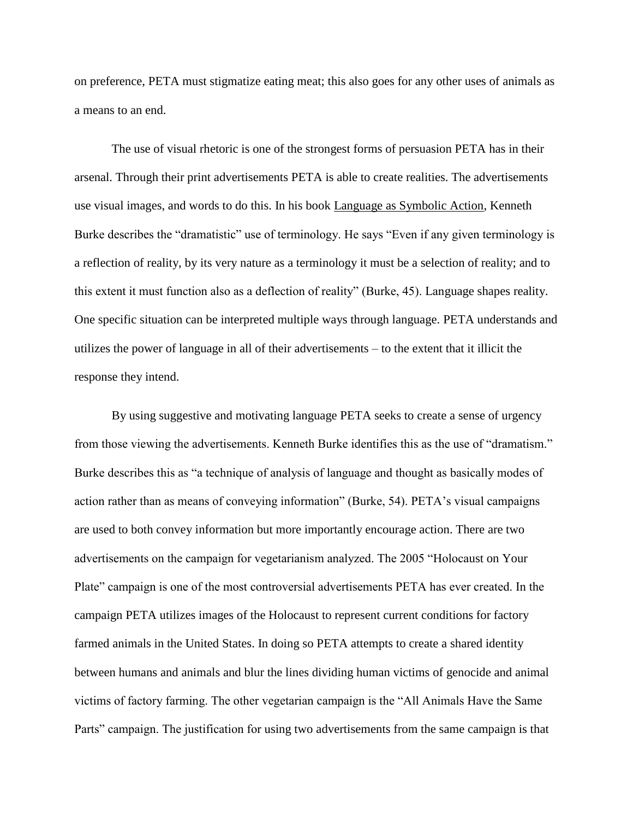on preference, PETA must stigmatize eating meat; this also goes for any other uses of animals as a means to an end.

The use of visual rhetoric is one of the strongest forms of persuasion PETA has in their arsenal. Through their print advertisements PETA is able to create realities. The advertisements use visual images, and words to do this. In his book Language as Symbolic Action, Kenneth Burke describes the "dramatistic" use of terminology. He says "Even if any given terminology is a reflection of reality, by its very nature as a terminology it must be a selection of reality; and to this extent it must function also as a deflection of reality" (Burke, 45). Language shapes reality. One specific situation can be interpreted multiple ways through language. PETA understands and utilizes the power of language in all of their advertisements – to the extent that it illicit the response they intend.

By using suggestive and motivating language PETA seeks to create a sense of urgency from those viewing the advertisements. Kenneth Burke identifies this as the use of "dramatism." Burke describes this as "a technique of analysis of language and thought as basically modes of action rather than as means of conveying information" (Burke, 54). PETA's visual campaigns are used to both convey information but more importantly encourage action. There are two advertisements on the campaign for vegetarianism analyzed. The 2005 "Holocaust on Your Plate" campaign is one of the most controversial advertisements PETA has ever created. In the campaign PETA utilizes images of the Holocaust to represent current conditions for factory farmed animals in the United States. In doing so PETA attempts to create a shared identity between humans and animals and blur the lines dividing human victims of genocide and animal victims of factory farming. The other vegetarian campaign is the "All Animals Have the Same Parts" campaign. The justification for using two advertisements from the same campaign is that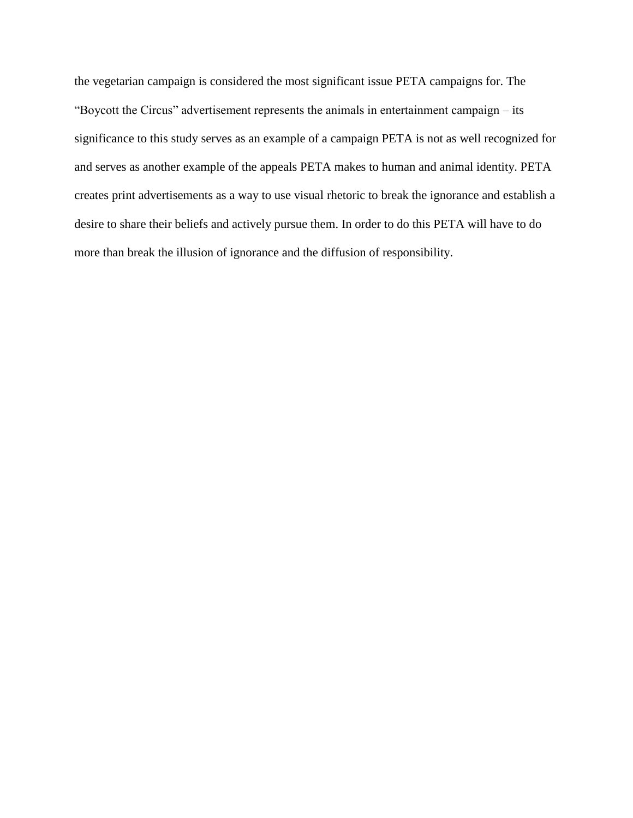the vegetarian campaign is considered the most significant issue PETA campaigns for. The "Boycott the Circus" advertisement represents the animals in entertainment campaign – its significance to this study serves as an example of a campaign PETA is not as well recognized for and serves as another example of the appeals PETA makes to human and animal identity. PETA creates print advertisements as a way to use visual rhetoric to break the ignorance and establish a desire to share their beliefs and actively pursue them. In order to do this PETA will have to do more than break the illusion of ignorance and the diffusion of responsibility.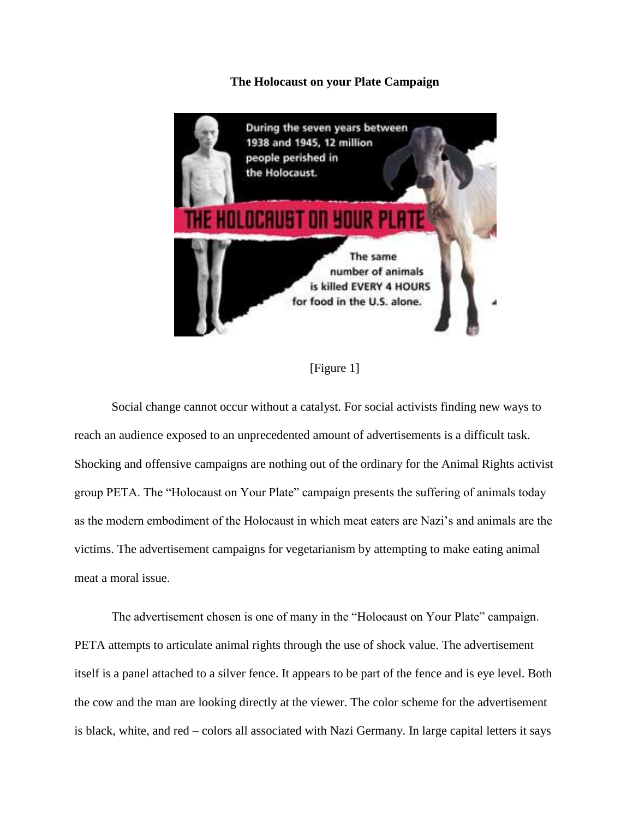**The Holocaust on your Plate Campaign**



[Figure 1]

Social change cannot occur without a catalyst. For social activists finding new ways to reach an audience exposed to an unprecedented amount of advertisements is a difficult task. Shocking and offensive campaigns are nothing out of the ordinary for the Animal Rights activist group PETA. The "Holocaust on Your Plate" campaign presents the suffering of animals today as the modern embodiment of the Holocaust in which meat eaters are Nazi's and animals are the victims. The advertisement campaigns for vegetarianism by attempting to make eating animal meat a moral issue.

The advertisement chosen is one of many in the "Holocaust on Your Plate" campaign. PETA attempts to articulate animal rights through the use of shock value. The advertisement itself is a panel attached to a silver fence. It appears to be part of the fence and is eye level. Both the cow and the man are looking directly at the viewer. The color scheme for the advertisement is black, white, and red – colors all associated with Nazi Germany. In large capital letters it says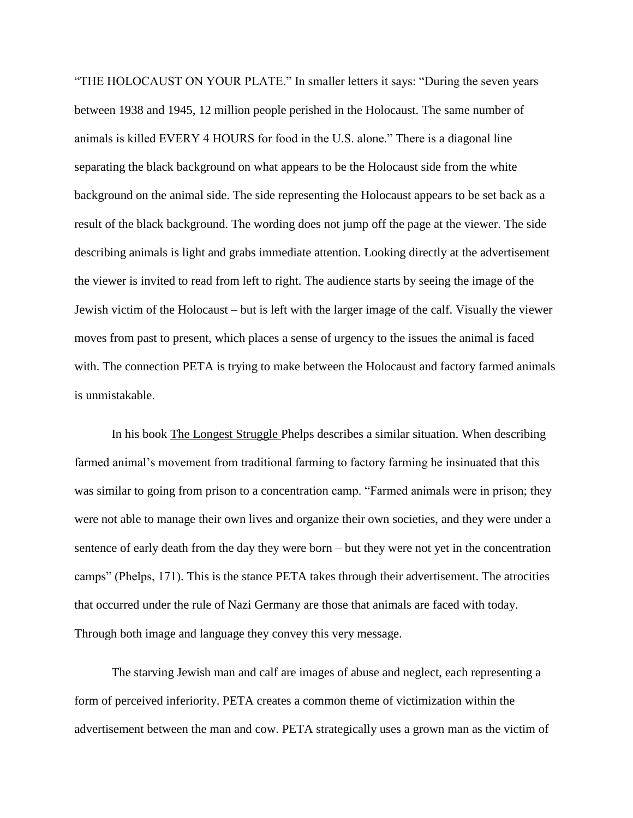"THE HOLOCAUST ON YOUR PLATE." In smaller letters it says: "During the seven years between 1938 and 1945, 12 million people perished in the Holocaust. The same number of animals is killed EVERY 4 HOURS for food in the U.S. alone." There is a diagonal line separating the black background on what appears to be the Holocaust side from the white background on the animal side. The side representing the Holocaust appears to be set back as a result of the black background. The wording does not jump off the page at the viewer. The side describing animals is light and grabs immediate attention. Looking directly at the advertisement the viewer is invited to read from left to right. The audience starts by seeing the image of the Jewish victim of the Holocaust – but is left with the larger image of the calf. Visually the viewer moves from past to present, which places a sense of urgency to the issues the animal is faced with. The connection PETA is trying to make between the Holocaust and factory farmed animals is unmistakable.

In his book The Longest Struggle Phelps describes a similar situation. When describing farmed animal's movement from traditional farming to factory farming he insinuated that this was similar to going from prison to a concentration camp. "Farmed animals were in prison; they were not able to manage their own lives and organize their own societies, and they were under a sentence of early death from the day they were born – but they were not yet in the concentration camps" (Phelps, 171). This is the stance PETA takes through their advertisement. The atrocities that occurred under the rule of Nazi Germany are those that animals are faced with today. Through both image and language they convey this very message.

The starving Jewish man and calf are images of abuse and neglect, each representing a form of perceived inferiority. PETA creates a common theme of victimization within the advertisement between the man and cow. PETA strategically uses a grown man as the victim of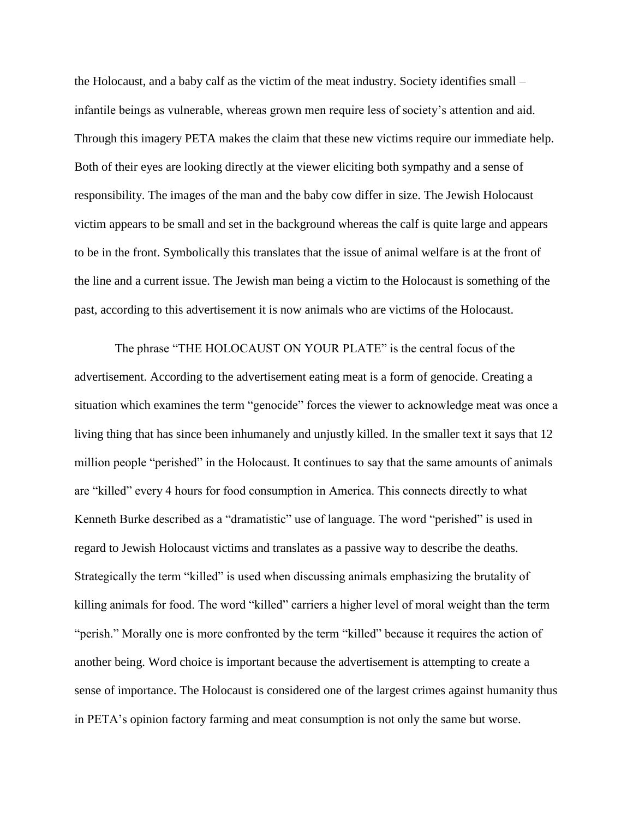the Holocaust, and a baby calf as the victim of the meat industry. Society identifies small – infantile beings as vulnerable, whereas grown men require less of society's attention and aid. Through this imagery PETA makes the claim that these new victims require our immediate help. Both of their eyes are looking directly at the viewer eliciting both sympathy and a sense of responsibility. The images of the man and the baby cow differ in size. The Jewish Holocaust victim appears to be small and set in the background whereas the calf is quite large and appears to be in the front. Symbolically this translates that the issue of animal welfare is at the front of the line and a current issue. The Jewish man being a victim to the Holocaust is something of the past, according to this advertisement it is now animals who are victims of the Holocaust.

The phrase "THE HOLOCAUST ON YOUR PLATE" is the central focus of the advertisement. According to the advertisement eating meat is a form of genocide. Creating a situation which examines the term "genocide" forces the viewer to acknowledge meat was once a living thing that has since been inhumanely and unjustly killed. In the smaller text it says that 12 million people "perished" in the Holocaust. It continues to say that the same amounts of animals are "killed" every 4 hours for food consumption in America. This connects directly to what Kenneth Burke described as a "dramatistic" use of language. The word "perished" is used in regard to Jewish Holocaust victims and translates as a passive way to describe the deaths. Strategically the term "killed" is used when discussing animals emphasizing the brutality of killing animals for food. The word "killed" carriers a higher level of moral weight than the term "perish." Morally one is more confronted by the term "killed" because it requires the action of another being. Word choice is important because the advertisement is attempting to create a sense of importance. The Holocaust is considered one of the largest crimes against humanity thus in PETA's opinion factory farming and meat consumption is not only the same but worse.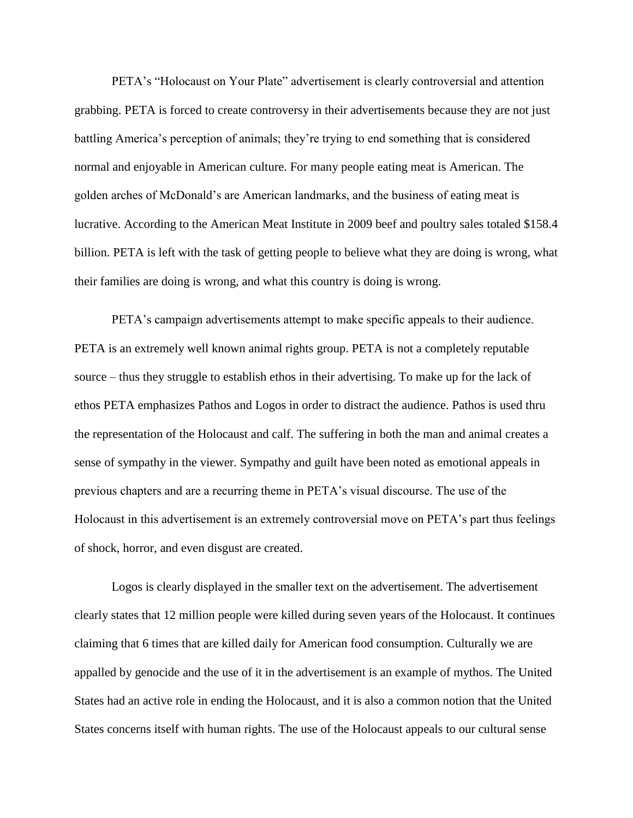PETA's "Holocaust on Your Plate" advertisement is clearly controversial and attention grabbing. PETA is forced to create controversy in their advertisements because they are not just battling America's perception of animals; they're trying to end something that is considered normal and enjoyable in American culture. For many people eating meat is American. The golden arches of McDonald's are American landmarks, and the business of eating meat is lucrative. According to the American Meat Institute in 2009 beef and poultry sales totaled \$158.4 billion. PETA is left with the task of getting people to believe what they are doing is wrong, what their families are doing is wrong, and what this country is doing is wrong.

PETA's campaign advertisements attempt to make specific appeals to their audience. PETA is an extremely well known animal rights group. PETA is not a completely reputable source – thus they struggle to establish ethos in their advertising. To make up for the lack of ethos PETA emphasizes Pathos and Logos in order to distract the audience. Pathos is used thru the representation of the Holocaust and calf. The suffering in both the man and animal creates a sense of sympathy in the viewer. Sympathy and guilt have been noted as emotional appeals in previous chapters and are a recurring theme in PETA's visual discourse. The use of the Holocaust in this advertisement is an extremely controversial move on PETA's part thus feelings of shock, horror, and even disgust are created.

Logos is clearly displayed in the smaller text on the advertisement. The advertisement clearly states that 12 million people were killed during seven years of the Holocaust. It continues claiming that 6 times that are killed daily for American food consumption. Culturally we are appalled by genocide and the use of it in the advertisement is an example of mythos. The United States had an active role in ending the Holocaust, and it is also a common notion that the United States concerns itself with human rights. The use of the Holocaust appeals to our cultural sense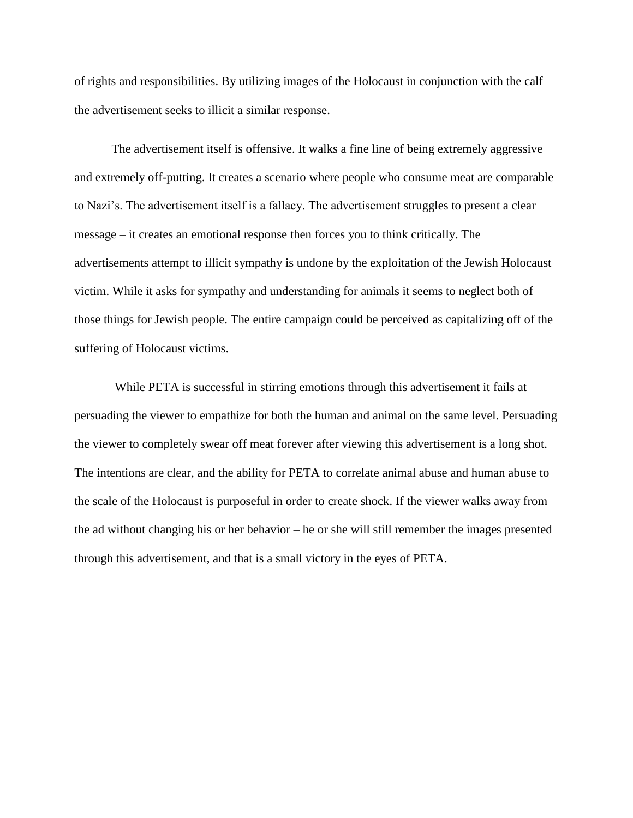of rights and responsibilities. By utilizing images of the Holocaust in conjunction with the calf – the advertisement seeks to illicit a similar response.

The advertisement itself is offensive. It walks a fine line of being extremely aggressive and extremely off-putting. It creates a scenario where people who consume meat are comparable to Nazi's. The advertisement itself is a fallacy. The advertisement struggles to present a clear message – it creates an emotional response then forces you to think critically. The advertisements attempt to illicit sympathy is undone by the exploitation of the Jewish Holocaust victim. While it asks for sympathy and understanding for animals it seems to neglect both of those things for Jewish people. The entire campaign could be perceived as capitalizing off of the suffering of Holocaust victims.

While PETA is successful in stirring emotions through this advertisement it fails at persuading the viewer to empathize for both the human and animal on the same level. Persuading the viewer to completely swear off meat forever after viewing this advertisement is a long shot. The intentions are clear, and the ability for PETA to correlate animal abuse and human abuse to the scale of the Holocaust is purposeful in order to create shock. If the viewer walks away from the ad without changing his or her behavior – he or she will still remember the images presented through this advertisement, and that is a small victory in the eyes of PETA.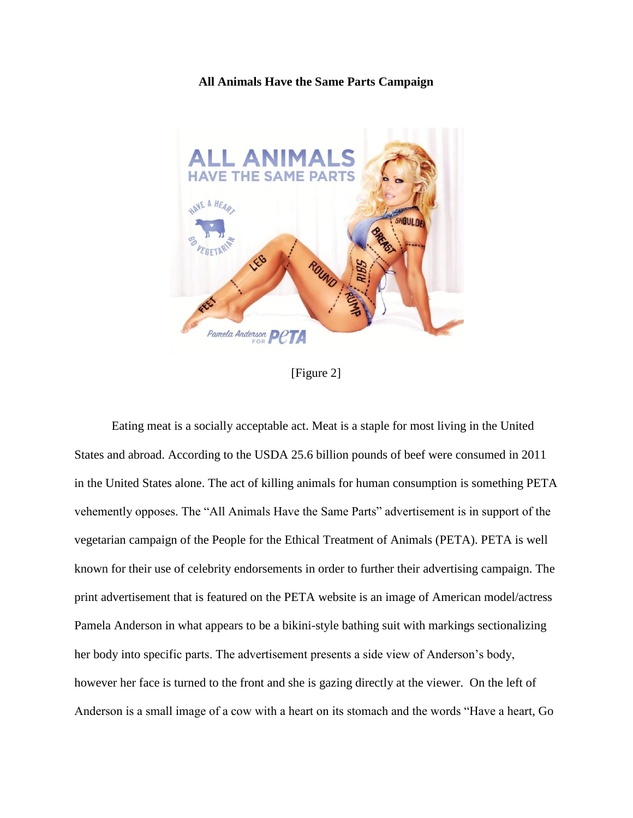# **All Animals Have the Same Parts Campaign**



[Figure 2]

Eating meat is a socially acceptable act. Meat is a staple for most living in the United States and abroad. According to the USDA 25.6 billion pounds of beef were consumed in 2011 in the United States alone. The act of killing animals for human consumption is something PETA vehemently opposes. The "All Animals Have the Same Parts" advertisement is in support of the vegetarian campaign of the People for the Ethical Treatment of Animals (PETA). PETA is well known for their use of celebrity endorsements in order to further their advertising campaign. The print advertisement that is featured on the PETA website is an image of American model/actress Pamela Anderson in what appears to be a bikini-style bathing suit with markings sectionalizing her body into specific parts. The advertisement presents a side view of Anderson's body, however her face is turned to the front and she is gazing directly at the viewer. On the left of Anderson is a small image of a cow with a heart on its stomach and the words "Have a heart, Go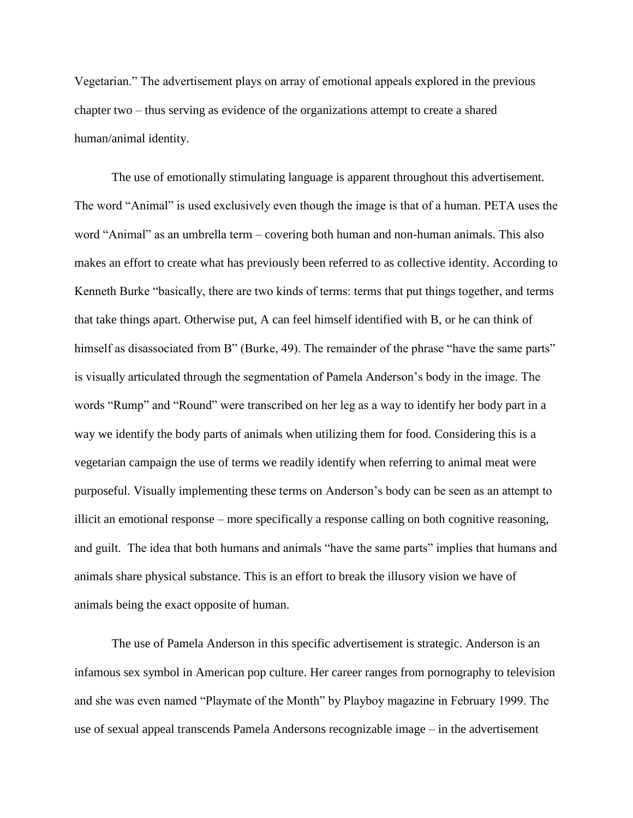Vegetarian." The advertisement plays on array of emotional appeals explored in the previous chapter two – thus serving as evidence of the organizations attempt to create a shared human/animal identity.

The use of emotionally stimulating language is apparent throughout this advertisement. The word "Animal" is used exclusively even though the image is that of a human. PETA uses the word "Animal" as an umbrella term – covering both human and non-human animals. This also makes an effort to create what has previously been referred to as collective identity. According to Kenneth Burke "basically, there are two kinds of terms: terms that put things together, and terms that take things apart. Otherwise put, A can feel himself identified with B, or he can think of himself as disassociated from B" (Burke, 49). The remainder of the phrase "have the same parts" is visually articulated through the segmentation of Pamela Anderson's body in the image. The words "Rump" and "Round" were transcribed on her leg as a way to identify her body part in a way we identify the body parts of animals when utilizing them for food. Considering this is a vegetarian campaign the use of terms we readily identify when referring to animal meat were purposeful. Visually implementing these terms on Anderson's body can be seen as an attempt to illicit an emotional response – more specifically a response calling on both cognitive reasoning, and guilt. The idea that both humans and animals "have the same parts" implies that humans and animals share physical substance. This is an effort to break the illusory vision we have of animals being the exact opposite of human.

The use of Pamela Anderson in this specific advertisement is strategic. Anderson is an infamous sex symbol in American pop culture. Her career ranges from pornography to television and she was even named "Playmate of the Month" by Playboy magazine in February 1999. The use of sexual appeal transcends Pamela Andersons recognizable image – in the advertisement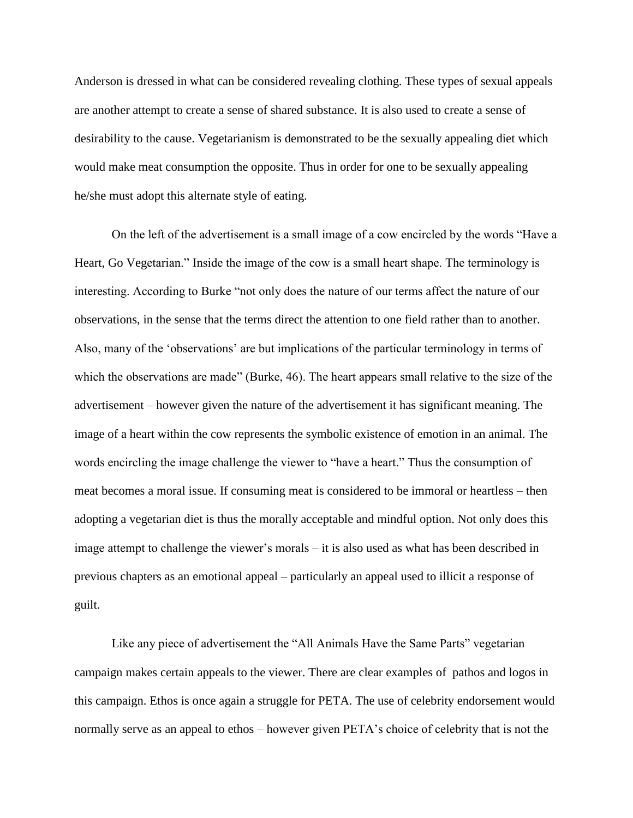Anderson is dressed in what can be considered revealing clothing. These types of sexual appeals are another attempt to create a sense of shared substance. It is also used to create a sense of desirability to the cause. Vegetarianism is demonstrated to be the sexually appealing diet which would make meat consumption the opposite. Thus in order for one to be sexually appealing he/she must adopt this alternate style of eating.

On the left of the advertisement is a small image of a cow encircled by the words "Have a Heart, Go Vegetarian." Inside the image of the cow is a small heart shape. The terminology is interesting. According to Burke "not only does the nature of our terms affect the nature of our observations, in the sense that the terms direct the attention to one field rather than to another. Also, many of the 'observations' are but implications of the particular terminology in terms of which the observations are made" (Burke, 46). The heart appears small relative to the size of the advertisement – however given the nature of the advertisement it has significant meaning. The image of a heart within the cow represents the symbolic existence of emotion in an animal. The words encircling the image challenge the viewer to "have a heart." Thus the consumption of meat becomes a moral issue. If consuming meat is considered to be immoral or heartless – then adopting a vegetarian diet is thus the morally acceptable and mindful option. Not only does this image attempt to challenge the viewer's morals – it is also used as what has been described in previous chapters as an emotional appeal – particularly an appeal used to illicit a response of guilt.

Like any piece of advertisement the "All Animals Have the Same Parts" vegetarian campaign makes certain appeals to the viewer. There are clear examples of pathos and logos in this campaign. Ethos is once again a struggle for PETA. The use of celebrity endorsement would normally serve as an appeal to ethos – however given PETA's choice of celebrity that is not the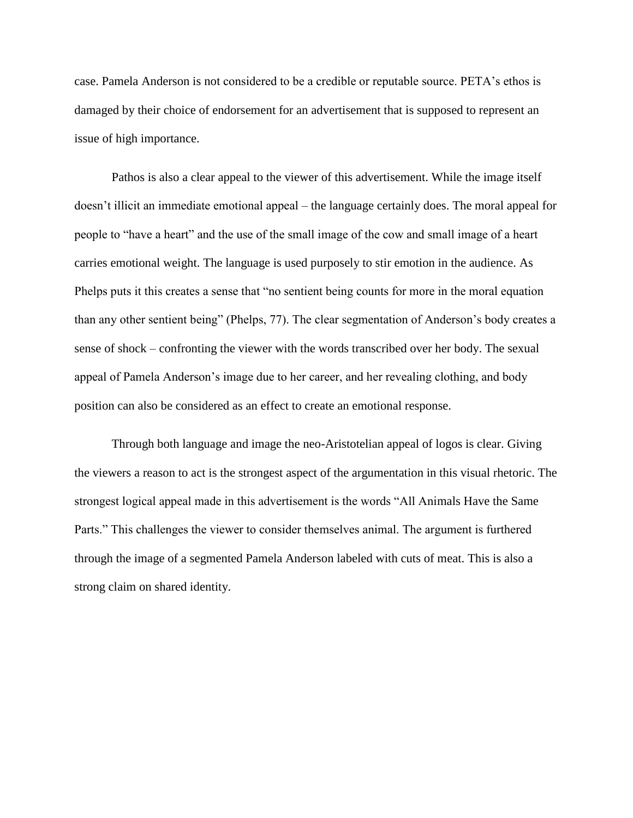case. Pamela Anderson is not considered to be a credible or reputable source. PETA's ethos is damaged by their choice of endorsement for an advertisement that is supposed to represent an issue of high importance.

Pathos is also a clear appeal to the viewer of this advertisement. While the image itself doesn't illicit an immediate emotional appeal – the language certainly does. The moral appeal for people to "have a heart" and the use of the small image of the cow and small image of a heart carries emotional weight. The language is used purposely to stir emotion in the audience. As Phelps puts it this creates a sense that "no sentient being counts for more in the moral equation than any other sentient being" (Phelps, 77). The clear segmentation of Anderson's body creates a sense of shock – confronting the viewer with the words transcribed over her body. The sexual appeal of Pamela Anderson's image due to her career, and her revealing clothing, and body position can also be considered as an effect to create an emotional response.

Through both language and image the neo-Aristotelian appeal of logos is clear. Giving the viewers a reason to act is the strongest aspect of the argumentation in this visual rhetoric. The strongest logical appeal made in this advertisement is the words "All Animals Have the Same Parts." This challenges the viewer to consider themselves animal. The argument is furthered through the image of a segmented Pamela Anderson labeled with cuts of meat. This is also a strong claim on shared identity.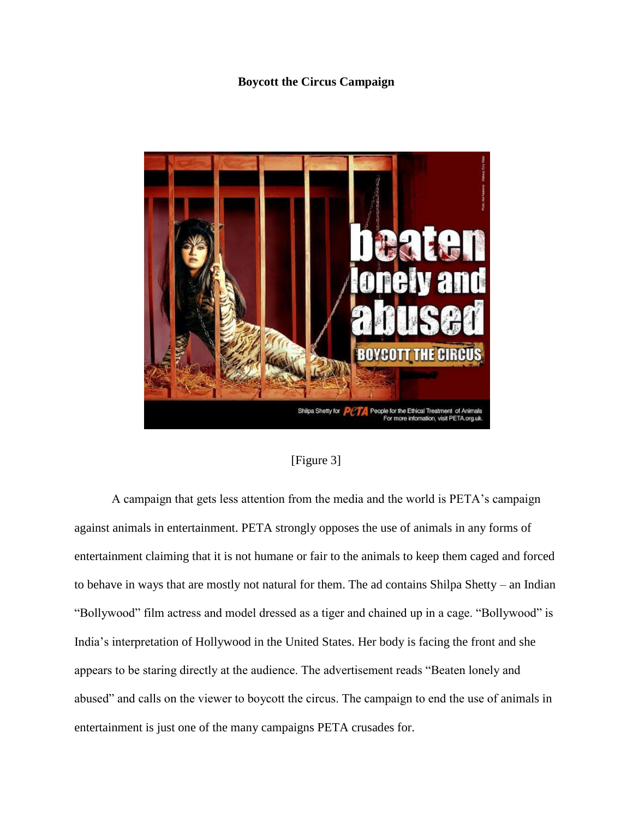# **Boycott the Circus Campaign**



[Figure 3]

A campaign that gets less attention from the media and the world is PETA's campaign against animals in entertainment. PETA strongly opposes the use of animals in any forms of entertainment claiming that it is not humane or fair to the animals to keep them caged and forced to behave in ways that are mostly not natural for them. The ad contains Shilpa Shetty – an Indian "Bollywood" film actress and model dressed as a tiger and chained up in a cage. "Bollywood" is India's interpretation of Hollywood in the United States. Her body is facing the front and she appears to be staring directly at the audience. The advertisement reads "Beaten lonely and abused" and calls on the viewer to boycott the circus. The campaign to end the use of animals in entertainment is just one of the many campaigns PETA crusades for.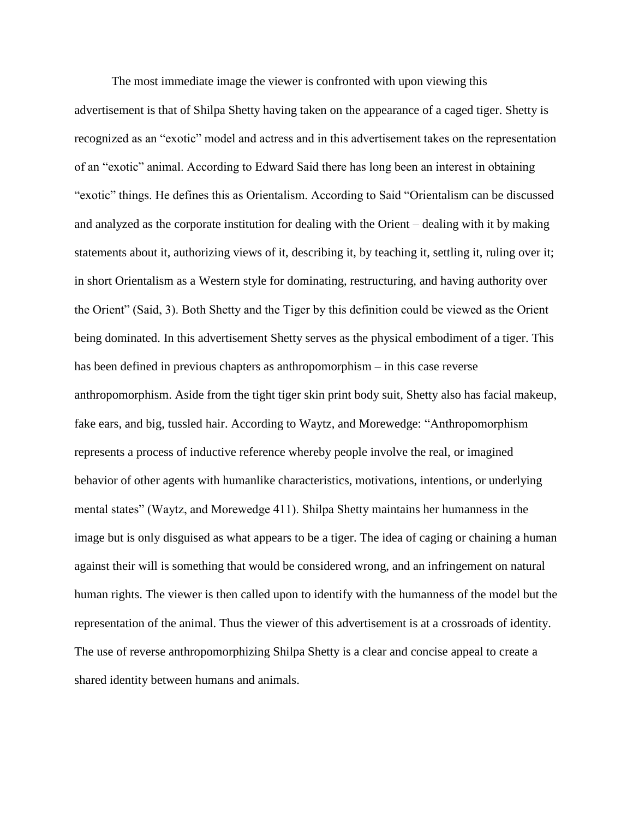The most immediate image the viewer is confronted with upon viewing this advertisement is that of Shilpa Shetty having taken on the appearance of a caged tiger. Shetty is recognized as an "exotic" model and actress and in this advertisement takes on the representation of an "exotic" animal. According to Edward Said there has long been an interest in obtaining "exotic" things. He defines this as Orientalism. According to Said "Orientalism can be discussed and analyzed as the corporate institution for dealing with the Orient – dealing with it by making statements about it, authorizing views of it, describing it, by teaching it, settling it, ruling over it; in short Orientalism as a Western style for dominating, restructuring, and having authority over the Orient" (Said, 3). Both Shetty and the Tiger by this definition could be viewed as the Orient being dominated. In this advertisement Shetty serves as the physical embodiment of a tiger. This has been defined in previous chapters as anthropomorphism – in this case reverse anthropomorphism. Aside from the tight tiger skin print body suit, Shetty also has facial makeup, fake ears, and big, tussled hair. According to Waytz, and Morewedge: "Anthropomorphism represents a process of inductive reference whereby people involve the real, or imagined behavior of other agents with humanlike characteristics, motivations, intentions, or underlying mental states" (Waytz, and Morewedge 411). Shilpa Shetty maintains her humanness in the image but is only disguised as what appears to be a tiger. The idea of caging or chaining a human against their will is something that would be considered wrong, and an infringement on natural human rights. The viewer is then called upon to identify with the humanness of the model but the representation of the animal. Thus the viewer of this advertisement is at a crossroads of identity. The use of reverse anthropomorphizing Shilpa Shetty is a clear and concise appeal to create a shared identity between humans and animals.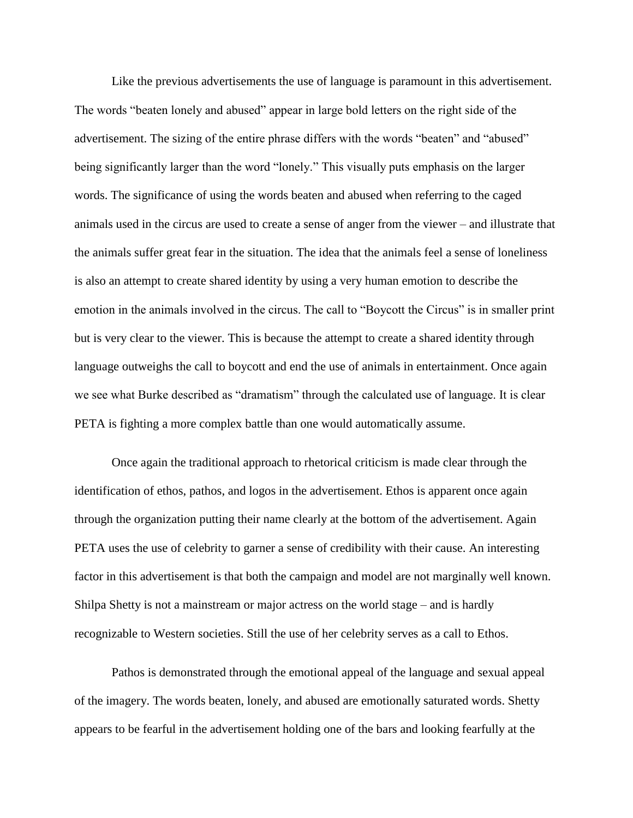Like the previous advertisements the use of language is paramount in this advertisement. The words "beaten lonely and abused" appear in large bold letters on the right side of the advertisement. The sizing of the entire phrase differs with the words "beaten" and "abused" being significantly larger than the word "lonely." This visually puts emphasis on the larger words. The significance of using the words beaten and abused when referring to the caged animals used in the circus are used to create a sense of anger from the viewer – and illustrate that the animals suffer great fear in the situation. The idea that the animals feel a sense of loneliness is also an attempt to create shared identity by using a very human emotion to describe the emotion in the animals involved in the circus. The call to "Boycott the Circus" is in smaller print but is very clear to the viewer. This is because the attempt to create a shared identity through language outweighs the call to boycott and end the use of animals in entertainment. Once again we see what Burke described as "dramatism" through the calculated use of language. It is clear PETA is fighting a more complex battle than one would automatically assume.

Once again the traditional approach to rhetorical criticism is made clear through the identification of ethos, pathos, and logos in the advertisement. Ethos is apparent once again through the organization putting their name clearly at the bottom of the advertisement. Again PETA uses the use of celebrity to garner a sense of credibility with their cause. An interesting factor in this advertisement is that both the campaign and model are not marginally well known. Shilpa Shetty is not a mainstream or major actress on the world stage – and is hardly recognizable to Western societies. Still the use of her celebrity serves as a call to Ethos.

Pathos is demonstrated through the emotional appeal of the language and sexual appeal of the imagery. The words beaten, lonely, and abused are emotionally saturated words. Shetty appears to be fearful in the advertisement holding one of the bars and looking fearfully at the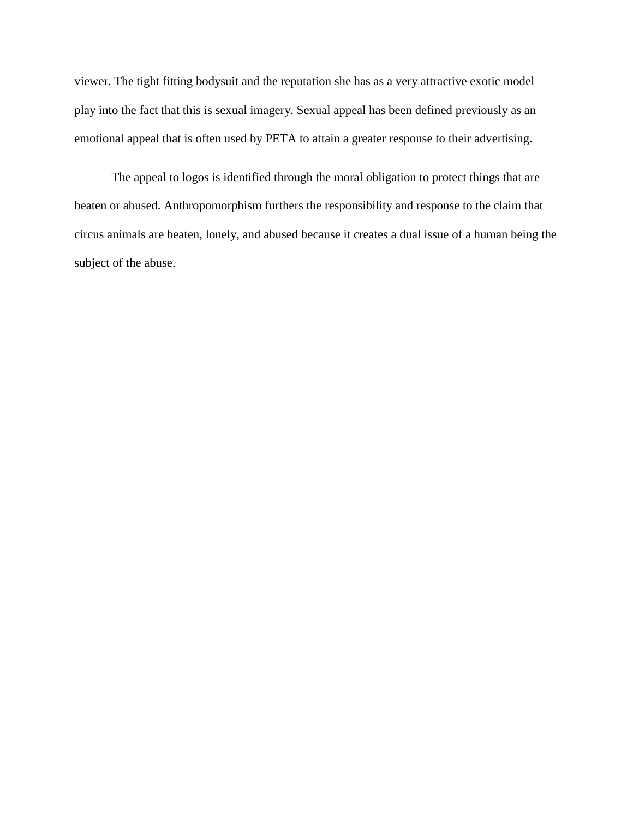viewer. The tight fitting bodysuit and the reputation she has as a very attractive exotic model play into the fact that this is sexual imagery. Sexual appeal has been defined previously as an emotional appeal that is often used by PETA to attain a greater response to their advertising.

The appeal to logos is identified through the moral obligation to protect things that are beaten or abused. Anthropomorphism furthers the responsibility and response to the claim that circus animals are beaten, lonely, and abused because it creates a dual issue of a human being the subject of the abuse.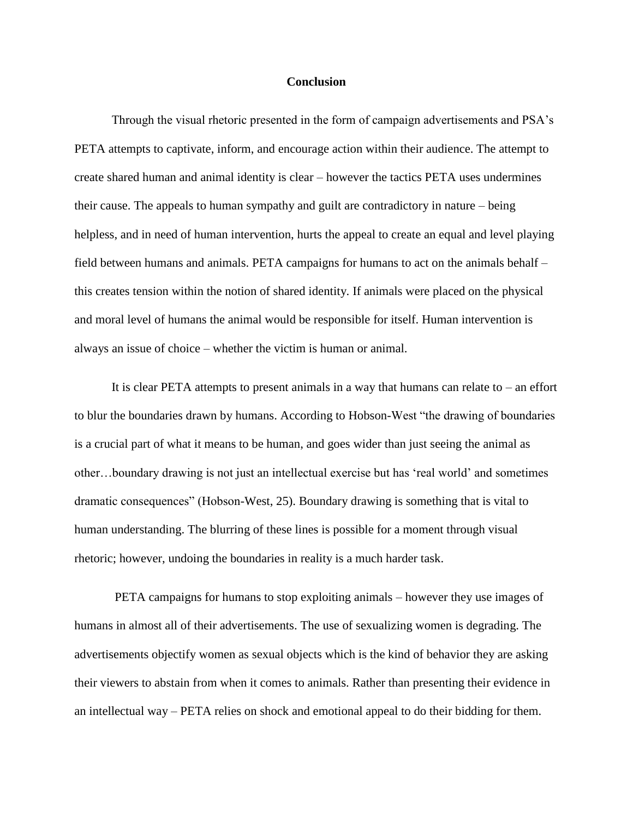#### **Conclusion**

Through the visual rhetoric presented in the form of campaign advertisements and PSA's PETA attempts to captivate, inform, and encourage action within their audience. The attempt to create shared human and animal identity is clear – however the tactics PETA uses undermines their cause. The appeals to human sympathy and guilt are contradictory in nature – being helpless, and in need of human intervention, hurts the appeal to create an equal and level playing field between humans and animals. PETA campaigns for humans to act on the animals behalf – this creates tension within the notion of shared identity. If animals were placed on the physical and moral level of humans the animal would be responsible for itself. Human intervention is always an issue of choice – whether the victim is human or animal.

It is clear PETA attempts to present animals in a way that humans can relate to – an effort to blur the boundaries drawn by humans. According to Hobson-West "the drawing of boundaries is a crucial part of what it means to be human, and goes wider than just seeing the animal as other…boundary drawing is not just an intellectual exercise but has 'real world' and sometimes dramatic consequences" (Hobson-West, 25). Boundary drawing is something that is vital to human understanding. The blurring of these lines is possible for a moment through visual rhetoric; however, undoing the boundaries in reality is a much harder task.

PETA campaigns for humans to stop exploiting animals – however they use images of humans in almost all of their advertisements. The use of sexualizing women is degrading. The advertisements objectify women as sexual objects which is the kind of behavior they are asking their viewers to abstain from when it comes to animals. Rather than presenting their evidence in an intellectual way – PETA relies on shock and emotional appeal to do their bidding for them.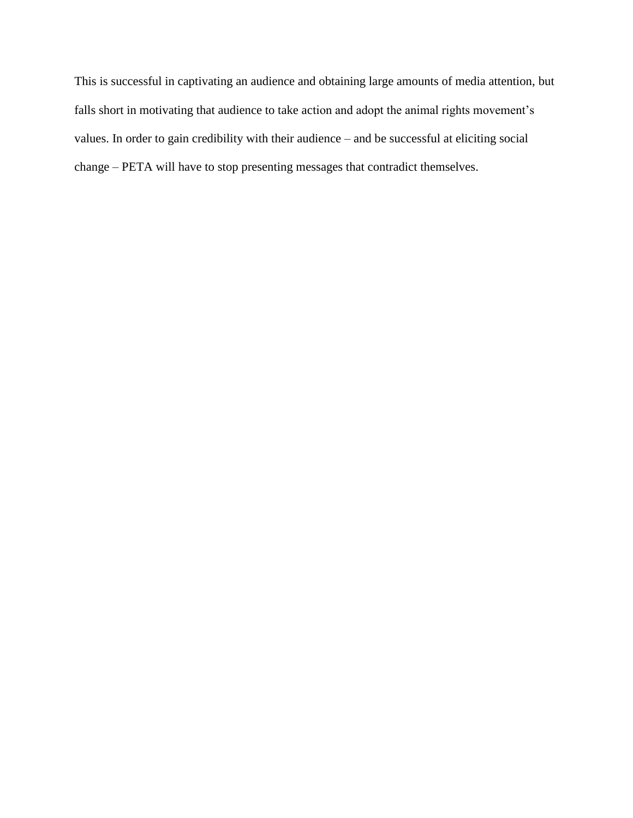This is successful in captivating an audience and obtaining large amounts of media attention, but falls short in motivating that audience to take action and adopt the animal rights movement's values. In order to gain credibility with their audience – and be successful at eliciting social change – PETA will have to stop presenting messages that contradict themselves.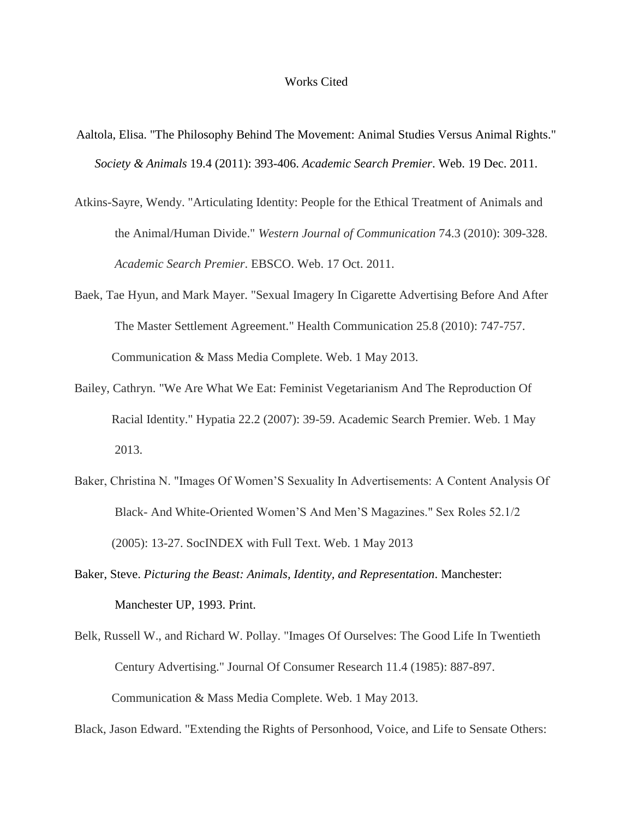#### Works Cited

- Aaltola, Elisa. "The Philosophy Behind The Movement: Animal Studies Versus Animal Rights." *Society & Animals* 19.4 (2011): 393-406. *Academic Search Premier*. Web. 19 Dec. 2011.
- Atkins-Sayre, Wendy. "Articulating Identity: People for the Ethical Treatment of Animals and the Animal/Human Divide." *Western Journal of Communication* 74.3 (2010): 309-328. *Academic Search Premier*. EBSCO. Web. 17 Oct. 2011.
- Baek, Tae Hyun, and Mark Mayer. "Sexual Imagery In Cigarette Advertising Before And After The Master Settlement Agreement." Health Communication 25.8 (2010): 747-757. Communication & Mass Media Complete. Web. 1 May 2013.
- Bailey, Cathryn. "We Are What We Eat: Feminist Vegetarianism And The Reproduction Of Racial Identity." Hypatia 22.2 (2007): 39-59. Academic Search Premier. Web. 1 May 2013.
- Baker, Christina N. "Images Of Women'S Sexuality In Advertisements: A Content Analysis Of Black- And White-Oriented Women'S And Men'S Magazines." Sex Roles 52.1/2 (2005): 13-27. SocINDEX with Full Text. Web. 1 May 2013
- Baker, Steve. *Picturing the Beast: Animals, Identity, and Representation*. Manchester: Manchester UP, 1993. Print.
- Belk, Russell W., and Richard W. Pollay. "Images Of Ourselves: The Good Life In Twentieth Century Advertising." Journal Of Consumer Research 11.4 (1985): 887-897. Communication & Mass Media Complete. Web. 1 May 2013.

Black, Jason Edward. "Extending the Rights of Personhood, Voice, and Life to Sensate Others: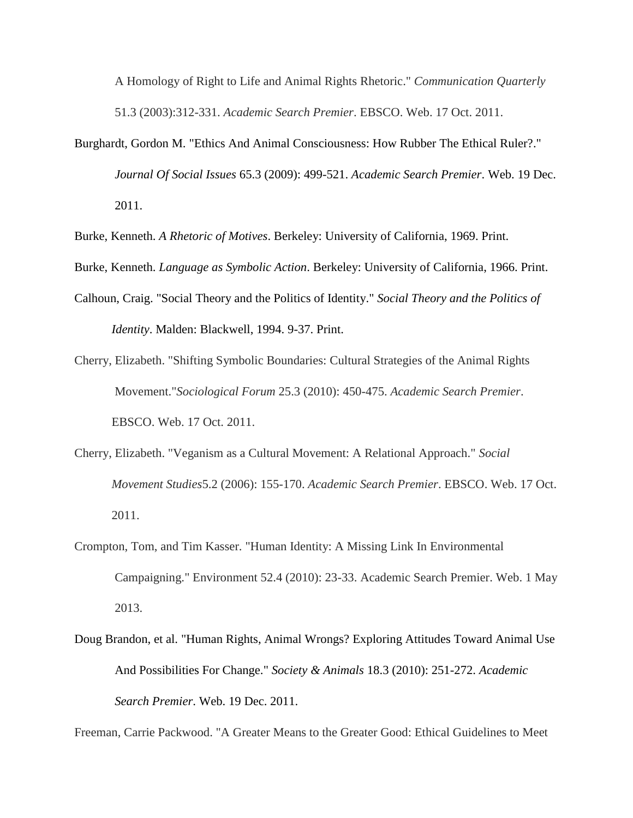A Homology of Right to Life and Animal Rights Rhetoric." *Communication Quarterly* 51.3 (2003):312-331. *Academic Search Premier*. EBSCO. Web. 17 Oct. 2011.

Burghardt, Gordon M. "Ethics And Animal Consciousness: How Rubber The Ethical Ruler?." *Journal Of Social Issues* 65.3 (2009): 499-521. *Academic Search Premier*. Web. 19 Dec. 2011.

Burke, Kenneth. *A Rhetoric of Motives*. Berkeley: University of California, 1969. Print.

Burke, Kenneth. *Language as Symbolic Action*. Berkeley: University of California, 1966. Print.

- Calhoun, Craig. "Social Theory and the Politics of Identity." *Social Theory and the Politics of Identity*. Malden: Blackwell, 1994. 9-37. Print.
- Cherry, Elizabeth. "Shifting Symbolic Boundaries: Cultural Strategies of the Animal Rights Movement."*Sociological Forum* 25.3 (2010): 450-475. *Academic Search Premier*. EBSCO. Web. 17 Oct. 2011.
- Cherry, Elizabeth. "Veganism as a Cultural Movement: A Relational Approach." *Social Movement Studies*5.2 (2006): 155-170. *Academic Search Premier*. EBSCO. Web. 17 Oct. 2011.
- Crompton, Tom, and Tim Kasser. "Human Identity: A Missing Link In Environmental Campaigning." Environment 52.4 (2010): 23-33. Academic Search Premier. Web. 1 May 2013.
- Doug Brandon, et al. "Human Rights, Animal Wrongs? Exploring Attitudes Toward Animal Use And Possibilities For Change." *Society & Animals* 18.3 (2010): 251-272. *Academic Search Premier*. Web. 19 Dec. 2011.

Freeman, Carrie Packwood. "A Greater Means to the Greater Good: Ethical Guidelines to Meet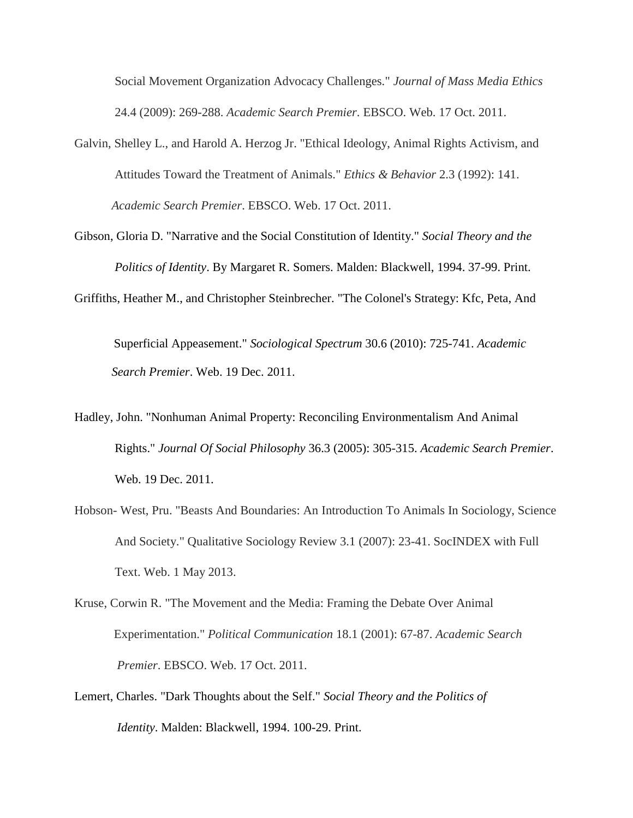Social Movement Organization Advocacy Challenges." *Journal of Mass Media Ethics* 24.4 (2009): 269-288. *Academic Search Premier*. EBSCO. Web. 17 Oct. 2011.

- Galvin, Shelley L., and Harold A. Herzog Jr. "Ethical Ideology, Animal Rights Activism, and Attitudes Toward the Treatment of Animals." *Ethics & Behavior* 2.3 (1992): 141. *Academic Search Premier*. EBSCO. Web. 17 Oct. 2011.
- Gibson, Gloria D. "Narrative and the Social Constitution of Identity." *Social Theory and the Politics of Identity*. By Margaret R. Somers. Malden: Blackwell, 1994. 37-99. Print.

Griffiths, Heather M., and Christopher Steinbrecher. "The Colonel's Strategy: Kfc, Peta, And

Superficial Appeasement." *Sociological Spectrum* 30.6 (2010): 725-741. *Academic Search Premier*. Web. 19 Dec. 2011.

- Hadley, John. "Nonhuman Animal Property: Reconciling Environmentalism And Animal Rights." *Journal Of Social Philosophy* 36.3 (2005): 305-315. *Academic Search Premier*. Web. 19 Dec. 2011.
- Hobson- West, Pru. "Beasts And Boundaries: An Introduction To Animals In Sociology, Science And Society." Qualitative Sociology Review 3.1 (2007): 23-41. SocINDEX with Full Text. Web. 1 May 2013.
- Kruse, Corwin R. "The Movement and the Media: Framing the Debate Over Animal Experimentation." *Political Communication* 18.1 (2001): 67-87. *Academic Search Premier*. EBSCO. Web. 17 Oct. 2011.
- Lemert, Charles. "Dark Thoughts about the Self." *Social Theory and the Politics of Identity*. Malden: Blackwell, 1994. 100-29. Print.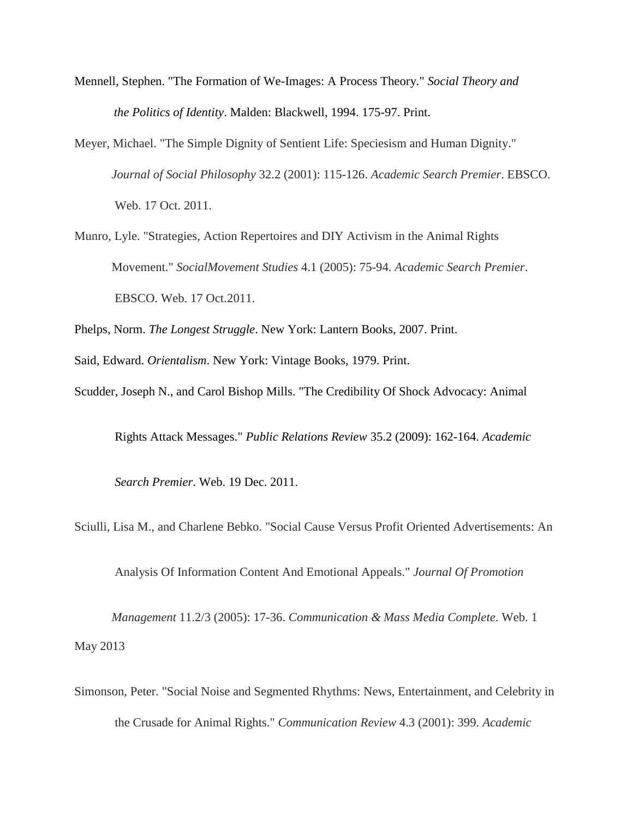- Mennell, Stephen. "The Formation of We-Images: A Process Theory." *Social Theory and the Politics of Identity*. Malden: Blackwell, 1994. 175-97. Print.
- Meyer, Michael. "The Simple Dignity of Sentient Life: Speciesism and Human Dignity." *Journal of Social Philosophy* 32.2 (2001): 115-126. *Academic Search Premier*. EBSCO. Web. 17 Oct. 2011.
- Munro, Lyle. "Strategies, Action Repertoires and DIY Activism in the Animal Rights Movement." *SocialMovement Studies* 4.1 (2005): 75-94. *Academic Search Premier*. EBSCO. Web. 17 Oct.2011.

Phelps, Norm. *The Longest Struggle*. New York: Lantern Books, 2007. Print.

Said, Edward. *Orientalism*. New York: Vintage Books, 1979. Print.

Scudder, Joseph N., and Carol Bishop Mills. "The Credibility Of Shock Advocacy: Animal

Rights Attack Messages." *Public Relations Review* 35.2 (2009): 162-164. *Academic*

*Search Premier*. Web. 19 Dec. 2011.

Sciulli, Lisa M., and Charlene Bebko. "Social Cause Versus Profit Oriented Advertisements: An

Analysis Of Information Content And Emotional Appeals." *Journal Of Promotion* 

*Management* 11.2/3 (2005): 17-36. *Communication & Mass Media Complete*. Web. 1 May 2013

Simonson, Peter. "Social Noise and Segmented Rhythms: News, Entertainment, and Celebrity in the Crusade for Animal Rights." *Communication Review* 4.3 (2001): 399. *Academic*